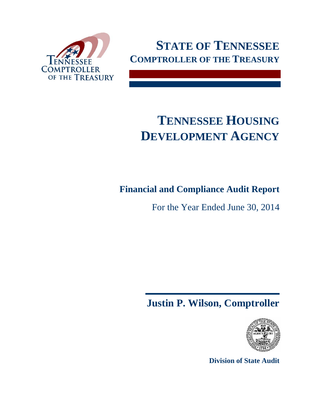

# **STATE OF TENNESSEE COMPTROLLER OF THE TREASURY**

# **TENNESSEE HOUSING DEVELOPMENT AGENCY**

## **Financial and Compliance Audit Report**

For the Year Ended June 30, 2014

**Justin P. Wilson, Comptroller** 



**Division of State Audit**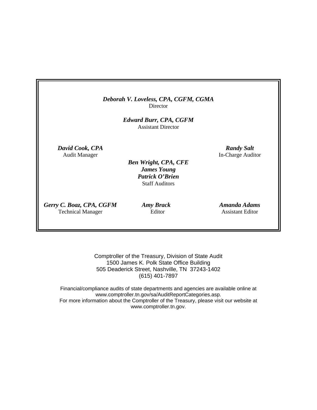#### *Deborah V. Loveless, CPA, CGFM, CGMA* Director

*Edward Burr, CPA, CGFM* Assistant Director

*David Cook, CPA* Randy Salt **Randy Salt** 

Audit Manager **In-Charge Auditor** 

*Ben Wright, CPA, CFE James Young Patrick O'Brien*  Staff Auditors

*Gerry C. Boaz, CPA, CGFM Amy Brack Amanda Adams*  Technical Manager

Comptroller of the Treasury, Division of State Audit 1500 James K. Polk State Office Building 505 Deaderick Street, Nashville, TN 37243-1402 (615) 401-7897

Financial/compliance audits of state departments and agencies are available online at www.comptroller.tn.gov/sa/AuditReportCategories.asp. For more information about the Comptroller of the Treasury, please visit our website at www.comptroller.tn.gov.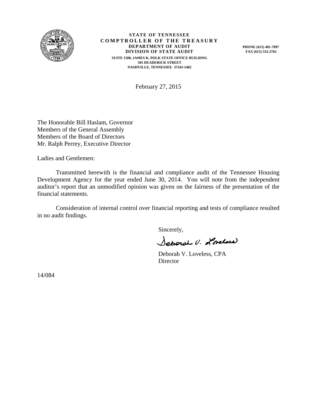

**STATE OF TENNESSEE COMPTROLLER OF THE TREASURY DEPARTMENT OF AUDIT DIVISION OF STATE AUDIT SUITE 1500, JAMES K. POLK STATE OFFICE BUILDING 505 DEADERICK STREET NASHVILLE, TENNESSEE 37243-1402** 

**PHONE (615) 401-7897 FAX (615) 532-2765** 

February 27, 2015

The Honorable Bill Haslam, Governor Members of the General Assembly Members of the Board of Directors Mr. Ralph Perrey, Executive Director

Ladies and Gentlemen:

 Transmitted herewith is the financial and compliance audit of the Tennessee Housing Development Agency for the year ended June 30, 2014. You will note from the independent auditor's report that an unmodified opinion was given on the fairness of the presentation of the financial statements.

 Consideration of internal control over financial reporting and tests of compliance resulted in no audit findings.

Sincerely,

Seporal U. Lorelian

 Deborah V. Loveless, CPA **Director** 

14/084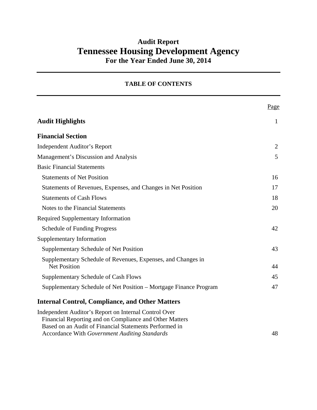### **Audit Report Tennessee Housing Development Agency For the Year Ended June 30, 2014**

|                                                                                     | Page           |
|-------------------------------------------------------------------------------------|----------------|
| <b>Audit Highlights</b>                                                             | 1              |
| <b>Financial Section</b>                                                            |                |
| <b>Independent Auditor's Report</b>                                                 | $\overline{2}$ |
| Management's Discussion and Analysis                                                | 5              |
| <b>Basic Financial Statements</b>                                                   |                |
| <b>Statements of Net Position</b>                                                   | 16             |
| Statements of Revenues, Expenses, and Changes in Net Position                       | 17             |
| <b>Statements of Cash Flows</b>                                                     | 18             |
| Notes to the Financial Statements                                                   | 20             |
| <b>Required Supplementary Information</b>                                           |                |
| <b>Schedule of Funding Progress</b>                                                 | 42             |
| <b>Supplementary Information</b>                                                    |                |
| Supplementary Schedule of Net Position                                              | 43             |
| Supplementary Schedule of Revenues, Expenses, and Changes in<br><b>Net Position</b> | 44             |
| Supplementary Schedule of Cash Flows                                                | 45             |
| Supplementary Schedule of Net Position - Mortgage Finance Program                   | 47             |
| <b>Internal Control, Compliance, and Other Matters</b>                              |                |
| Independent Auditor's Report on Internal Control Over                               |                |

Accordance With *Government Auditing Standards* 48

Financial Reporting and on Compliance and Other Matters Based on an Audit of Financial Statements Performed in

#### **TABLE OF CONTENTS**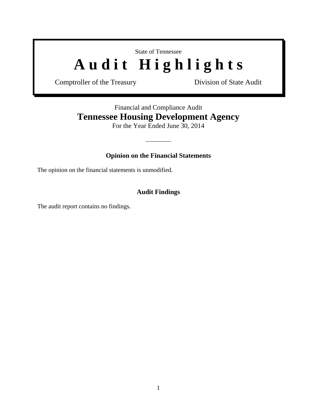# State of Tennessee Audit Highlights

Comptroller of the Treasury Division of State Audit

### Financial and Compliance Audit **Tennessee Housing Development Agency**

For the Year Ended June 30, 2014

 $\frac{1}{2}$ 

#### **Opinion on the Financial Statements**

The opinion on the financial statements is unmodified.

#### **Audit Findings**

The audit report contains no findings.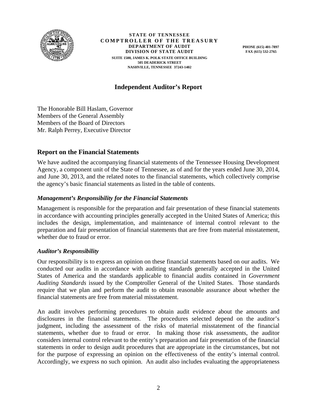

**STATE OF TENNESSEE COMPTROLLER OF THE TREASURY DEPARTMENT OF AUDIT DIVISION OF STATE AUDIT SUITE 1500, JAMES K. POLK STATE OFFICE BUILDING 505 DEADERICK STREET NASHVILLE, TENNESSEE 37243-1402** 

**PHONE (615) 401-7897 FAX (615) 532-2765** 

#### **Independent Auditor's Report**

The Honorable Bill Haslam, Governor Members of the General Assembly Members of the Board of Directors Mr. Ralph Perrey, Executive Director

#### **Report on the Financial Statements**

We have audited the accompanying financial statements of the Tennessee Housing Development Agency, a component unit of the State of Tennessee, as of and for the years ended June 30, 2014, and June 30, 2013, and the related notes to the financial statements, which collectively comprise the agency's basic financial statements as listed in the table of contents.

#### *Management's Responsibility for the Financial Statements*

Management is responsible for the preparation and fair presentation of these financial statements in accordance with accounting principles generally accepted in the United States of America; this includes the design, implementation, and maintenance of internal control relevant to the preparation and fair presentation of financial statements that are free from material misstatement, whether due to fraud or error.

#### *Auditor's Responsibility*

Our responsibility is to express an opinion on these financial statements based on our audits. We conducted our audits in accordance with auditing standards generally accepted in the United States of America and the standards applicable to financial audits contained in *Government Auditing Standards* issued by the Comptroller General of the United States. Those standards require that we plan and perform the audit to obtain reasonable assurance about whether the financial statements are free from material misstatement.

An audit involves performing procedures to obtain audit evidence about the amounts and disclosures in the financial statements. The procedures selected depend on the auditor's judgment, including the assessment of the risks of material misstatement of the financial statements, whether due to fraud or error. In making those risk assessments, the auditor considers internal control relevant to the entity's preparation and fair presentation of the financial statements in order to design audit procedures that are appropriate in the circumstances, but not for the purpose of expressing an opinion on the effectiveness of the entity's internal control. Accordingly, we express no such opinion. An audit also includes evaluating the appropriateness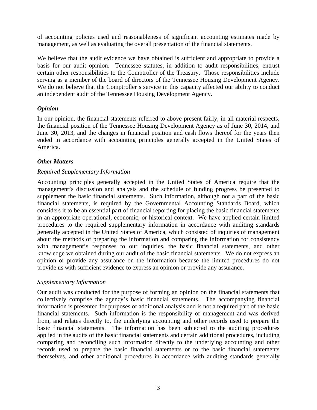of accounting policies used and reasonableness of significant accounting estimates made by management, as well as evaluating the overall presentation of the financial statements.

We believe that the audit evidence we have obtained is sufficient and appropriate to provide a basis for our audit opinion. Tennessee statutes, in addition to audit responsibilities, entrust certain other responsibilities to the Comptroller of the Treasury. Those responsibilities include serving as a member of the board of directors of the Tennessee Housing Development Agency. We do not believe that the Comptroller's service in this capacity affected our ability to conduct an independent audit of the Tennessee Housing Development Agency.

#### *Opinion*

In our opinion, the financial statements referred to above present fairly, in all material respects, the financial position of the Tennessee Housing Development Agency as of June 30, 2014, and June 30, 2013, and the changes in financial position and cash flows thereof for the years then ended in accordance with accounting principles generally accepted in the United States of America.

#### *Other Matters*

#### *Required Supplementary Information*

Accounting principles generally accepted in the United States of America require that the management's discussion and analysis and the schedule of funding progress be presented to supplement the basic financial statements. Such information, although not a part of the basic financial statements, is required by the Governmental Accounting Standards Board, which considers it to be an essential part of financial reporting for placing the basic financial statements in an appropriate operational, economic, or historical context. We have applied certain limited procedures to the required supplementary information in accordance with auditing standards generally accepted in the United States of America, which consisted of inquiries of management about the methods of preparing the information and comparing the information for consistency with management's responses to our inquiries, the basic financial statements, and other knowledge we obtained during our audit of the basic financial statements. We do not express an opinion or provide any assurance on the information because the limited procedures do not provide us with sufficient evidence to express an opinion or provide any assurance.

#### *Supplementary Information*

Our audit was conducted for the purpose of forming an opinion on the financial statements that collectively comprise the agency's basic financial statements. The accompanying financial information is presented for purposes of additional analysis and is not a required part of the basic financial statements. Such information is the responsibility of management and was derived from, and relates directly to, the underlying accounting and other records used to prepare the basic financial statements. The information has been subjected to the auditing procedures applied in the audits of the basic financial statements and certain additional procedures, including comparing and reconciling such information directly to the underlying accounting and other records used to prepare the basic financial statements or to the basic financial statements themselves, and other additional procedures in accordance with auditing standards generally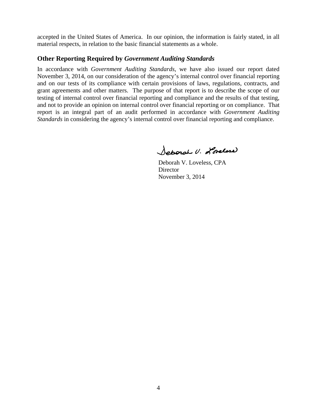accepted in the United States of America. In our opinion, the information is fairly stated, in all material respects, in relation to the basic financial statements as a whole.

#### **Other Reporting Required by** *Government Auditing Standards*

In accordance with *Government Auditing Standards*, we have also issued our report dated November 3, 2014, on our consideration of the agency's internal control over financial reporting and on our tests of its compliance with certain provisions of laws, regulations, contracts, and grant agreements and other matters. The purpose of that report is to describe the scope of our testing of internal control over financial reporting and compliance and the results of that testing, and not to provide an opinion on internal control over financial reporting or on compliance. That report is an integral part of an audit performed in accordance with *Government Auditing Standards* in considering the agency's internal control over financial reporting and compliance.

Separal U. Loreline

Deborah V. Loveless, CPA **Director** November 3, 2014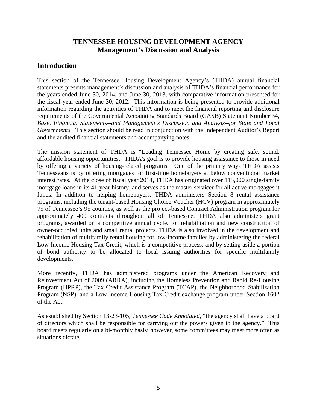#### **TENNESSEE HOUSING DEVELOPMENT AGENCY Management's Discussion and Analysis**

#### **Introduction**

This section of the Tennessee Housing Development Agency's (THDA) annual financial statements presents management's discussion and analysis of THDA's financial performance for the years ended June 30, 2014, and June 30, 2013, with comparative information presented for the fiscal year ended June 30, 2012. This information is being presented to provide additional information regarding the activities of THDA and to meet the financial reporting and disclosure requirements of the Governmental Accounting Standards Board (GASB) Statement Number 34, *Basic Financial Statements--and Management's Discussion and Analysis--for State and Local Governments.* This section should be read in conjunction with the Independent Auditor's Report and the audited financial statements and accompanying notes.

The mission statement of THDA is "Leading Tennessee Home by creating safe, sound, affordable housing opportunities." THDA's goal is to provide housing assistance to those in need by offering a variety of housing-related programs. One of the primary ways THDA assists Tennesseans is by offering mortgages for first-time homebuyers at below conventional market interest rates. At the close of fiscal year 2014, THDA has originated over 115,000 single-family mortgage loans in its 41-year history, and serves as the master servicer for all active mortgages it funds. In addition to helping homebuyers, THDA administers Section 8 rental assistance programs, including the tenant-based Housing Choice Voucher (HCV) program in approximately 75 of Tennessee's 95 counties, as well as the project-based Contract Administration program for approximately 400 contracts throughout all of Tennessee. THDA also administers grant programs, awarded on a competitive annual cycle, for rehabilitation and new construction of owner-occupied units and small rental projects. THDA is also involved in the development and rehabilitation of multifamily rental housing for low-income families by administering the federal Low-Income Housing Tax Credit, which is a competitive process, and by setting aside a portion of bond authority to be allocated to local issuing authorities for specific multifamily developments.

More recently, THDA has administered programs under the American Recovery and Reinvestment Act of 2009 (ARRA), including the Homeless Prevention and Rapid Re-Housing Program (HPRP), the Tax Credit Assistance Program (TCAP), the Neighborhood Stabilization Program (NSP), and a Low Income Housing Tax Credit exchange program under Section 1602 of the Act.

As established by Section 13-23-105, *Tennessee Code Annotated*, "the agency shall have a board of directors which shall be responsible for carrying out the powers given to the agency." This board meets regularly on a bi-monthly basis; however, some committees may meet more often as situations dictate.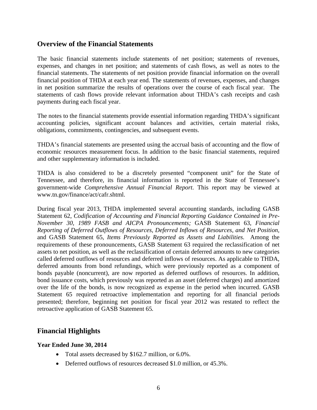#### **Overview of the Financial Statements**

The basic financial statements include statements of net position; statements of revenues, expenses, and changes in net position; and statements of cash flows, as well as notes to the financial statements. The statements of net position provide financial information on the overall financial position of THDA at each year end. The statements of revenues, expenses, and changes in net position summarize the results of operations over the course of each fiscal year. The statements of cash flows provide relevant information about THDA's cash receipts and cash payments during each fiscal year.

The notes to the financial statements provide essential information regarding THDA's significant accounting policies, significant account balances and activities, certain material risks, obligations, commitments, contingencies, and subsequent events.

THDA's financial statements are presented using the accrual basis of accounting and the flow of economic resources measurement focus. In addition to the basic financial statements, required and other supplementary information is included.

THDA is also considered to be a discretely presented "component unit" for the State of Tennessee, and therefore, its financial information is reported in the State of Tennessee's government-wide *Comprehensive Annual Financial Report*. This report may be viewed at www.tn.gov/finance/act/cafr.shtml.

During fiscal year 2013, THDA implemented several accounting standards, including GASB Statement 62, *Codification of Accounting and Financial Reporting Guidance Contained in Pre-November 30, 1989 FASB and AICPA Pronouncements;* GASB Statement 63, *Financial Reporting of Deferred Outflows of Resources, Deferred Inflows of Resources, and Net Position,*  and GASB Statement 65, *Items Previously Reported as Assets and Liabilities.* Among the requirements of these pronouncements, GASB Statement 63 required the reclassification of net assets to net position, as well as the reclassification of certain deferred amounts to new categories called deferred outflows of resources and deferred inflows of resources. As applicable to THDA, deferred amounts from bond refundings, which were previously reported as a component of bonds payable (noncurrent), are now reported as deferred outflows of resources. In addition, bond issuance costs, which previously was reported as an asset (deferred charges) and amortized over the life of the bonds, is now recognized as expense in the period when incurred. GASB Statement 65 required retroactive implementation and reporting for all financial periods presented; therefore, beginning net position for fiscal year 2012 was restated to reflect the retroactive application of GASB Statement 65*.*

#### **Financial Highlights**

#### **Year Ended June 30, 2014**

- Total assets decreased by \$162.7 million, or 6.0%.
- Deferred outflows of resources decreased \$1.0 million, or 45.3%.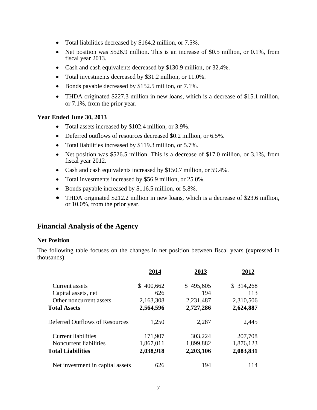- Total liabilities decreased by \$164.2 million, or 7.5%.
- Net position was \$526.9 million. This is an increase of \$0.5 million, or 0.1%, from fiscal year 2013.
- Cash and cash equivalents decreased by \$130.9 million, or 32.4%.
- Total investments decreased by \$31.2 million, or 11.0%.
- Bonds payable decreased by \$152.5 million, or 7.1%.
- THDA originated \$227.3 million in new loans, which is a decrease of \$15.1 million, or 7.1%, from the prior year.

#### **Year Ended June 30, 2013**

- Total assets increased by \$102.4 million, or 3.9%.
- Deferred outflows of resources decreased \$0.2 million, or 6.5%.
- Total liabilities increased by \$119.3 million, or 5.7%.
- Net position was \$526.5 million. This is a decrease of \$17.0 million, or 3.1%, from fiscal year 2012.
- Cash and cash equivalents increased by \$150.7 million, or 59.4%.
- Total investments increased by \$56.9 million, or 25.0%.
- Bonds payable increased by \$116.5 million, or 5.8%.
- THDA originated \$212.2 million in new loans, which is a decrease of \$23.6 million, or 10.0%, from the prior year.

#### **Financial Analysis of the Agency**

#### **Net Position**

The following table focuses on the changes in net position between fiscal years (expressed in thousands):

|                                  | 2014          | 2013      | 2012      |
|----------------------------------|---------------|-----------|-----------|
| Current assets                   | 400,662<br>S. | \$495,605 | \$314,268 |
| Capital assets, net              | 626           | 194       | 113       |
| Other noncurrent assets          | 2,163,308     | 2,231,487 | 2,310,506 |
| <b>Total Assets</b>              | 2,564,596     | 2,727,286 | 2,624,887 |
| Deferred Outflows of Resources   | 1,250         | 2,287     | 2,445     |
| <b>Current liabilities</b>       | 171,907       | 303,224   | 207,708   |
| Noncurrent liabilities           | 1,867,011     | 1,899,882 | 1,876,123 |
| <b>Total Liabilities</b>         | 2,038,918     | 2,203,106 | 2,083,831 |
| Net investment in capital assets | 626           | 194       | 114       |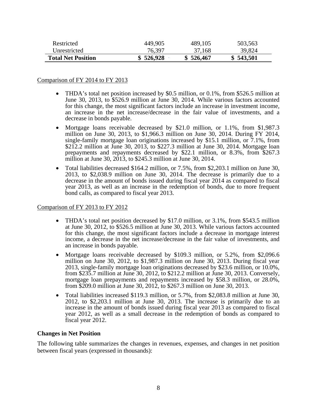| Restricted                | 449,905   | 489,105   | 503,563   |
|---------------------------|-----------|-----------|-----------|
| Unrestricted              | 76,397    | 37,168    | 39,824    |
| <b>Total Net Position</b> | \$526,928 | \$526,467 | \$543,501 |

Comparison of FY 2014 to FY 2013

- THDA's total net position increased by \$0.5 million, or 0.1%, from \$526.5 million at June 30, 2013, to \$526.9 million at June 30, 2014. While various factors accounted for this change, the most significant factors include an increase in investment income, an increase in the net increase/decrease in the fair value of investments, and a decrease in bonds payable.
- Mortgage loans receivable decreased by \$21.0 million, or 1.1%, from \$1,987.3 million on June 30, 2013, to \$1,966.3 million on June 30, 2014. During FY 2014, single-family mortgage loan originations increased by \$15.1 million, or 7.1%, from \$212.2 million at June 30, 2013, to \$227.3 million at June 30, 2014. Mortgage loan prepayments and repayments decreased by \$22.1 million, or 8.3%, from \$267.3 million at June 30, 2013, to \$245.3 million at June 30, 2014.
- Total liabilities decreased \$164.2 million, or 7.5%, from \$2,203.1 million on June 30, 2013, to \$2,038.9 million on June 30, 2014. The decrease is primarily due to a decrease in the amount of bonds issued during fiscal year 2014 as compared to fiscal year 2013, as well as an increase in the redemption of bonds, due to more frequent bond calls, as compared to fiscal year 2013.

#### Comparison of FY 2013 to FY 2012

- THDA's total net position decreased by \$17.0 million, or 3.1%, from \$543.5 million at June 30, 2012, to \$526.5 million at June 30, 2013. While various factors accounted for this change, the most significant factors include a decrease in mortgage interest income, a decrease in the net increase/decrease in the fair value of investments, and an increase in bonds payable.
- Mortgage loans receivable decreased by \$109.3 million, or 5.2%, from \$2,096.6 million on June 30, 2012, to \$1,987.3 million on June 30, 2013. During fiscal year 2013, single-family mortgage loan originations decreased by \$23.6 million, or 10.0%, from \$235.7 million at June 30, 2012, to \$212.2 million at June 30, 2013. Conversely, mortgage loan prepayments and repayments increased by \$58.3 million, or 28.0%, from \$209.0 million at June 30, 2012, to \$267.3 million on June 30, 2013.
- Total liabilities increased \$119.3 million, or 5.7%, from \$2,083.8 million at June 30, 2012, to \$2,203.1 million at June 30, 2013. The increase is primarily due to an increase in the amount of bonds issued during fiscal year 2013 as compared to fiscal year 2012, as well as a small decrease in the redemption of bonds as compared to fiscal year 2012.

#### **Changes in Net Position**

The following table summarizes the changes in revenues, expenses, and changes in net position between fiscal years (expressed in thousands):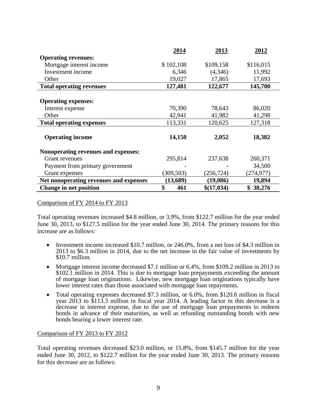|                                        | 2014       | 2013       | 2012       |
|----------------------------------------|------------|------------|------------|
| <b>Operating revenues:</b>             |            |            |            |
| Mortgage interest income               | \$102,108  | \$109,158  | \$116,015  |
| Investment income                      | 6,346      | (4,346)    | 11,992     |
| Other                                  | 19,027     | 17,865     | 17,693     |
| <b>Total operating revenues</b>        | 127,481    | 122,677    | 145,700    |
|                                        |            |            |            |
| <b>Operating expenses:</b>             |            |            |            |
| Interest expense                       | 70,390     | 78,643     | 86,020     |
| Other                                  | 42,941     | 41,982     | 41,298     |
| <b>Total operating expenses</b>        | 113,331    | 120,625    | 127,318    |
|                                        |            |            |            |
| <b>Operating income</b>                | 14,150     | 2,052      | 18,382     |
| Nonoperating revenues and expenses:    |            |            |            |
| Grant revenues                         | 295,814    | 237,638    | 260,371    |
| Payment from primary government        |            |            | 34,500     |
| Grant expenses                         | (309, 503) | (256, 724) | (274, 977) |
| Net nonoperating revenues and expenses | (13,689)   | (19,086)   | 19,894     |
| <b>Change in net position</b>          | \$<br>461  | \$(17,034) | \$38,276   |

#### Comparison of FY 2014 to FY 2013

Total operating revenues increased \$4.8 million, or 3.9%, from \$122.7 million for the year ended June 30, 2013, to \$127.5 million for the year ended June 30, 2014. The primary reasons for this increase are as follows:

- Investment income increased \$10.7 million, or 246.0%, from a net loss of \$4.3 million in 2013 to \$6.3 million in 2014, due to the net increase in the fair value of investments by \$10.7 million.
- Mortgage interest income decreased \$7.1 million or 6.4%, from \$109.2 million in 2013 to \$102.1 million in 2014. This is due to mortgage loan prepayments exceeding the amount of mortgage loan originations. Likewise, new mortgage loan originations typically have lower interest rates than those associated with mortgage loan repayments.
- Total operating expenses decreased \$7.3 million, or 6.0%, from \$120.6 million in fiscal year 2013 to \$113.3 million in fiscal year 2014. A leading factor in this decrease is a decrease in interest expense, due to the use of mortgage loan prepayments to redeem bonds in advance of their maturities, as well as refunding outstanding bonds with new bonds bearing a lower interest rate.

#### Comparison of FY 2013 to FY 2012

Total operating revenues decreased \$23.0 million, or 15.8%, from \$145.7 million for the year ended June 30, 2012, to \$122.7 million for the year ended June 30, 2013. The primary reasons for this decrease are as follows: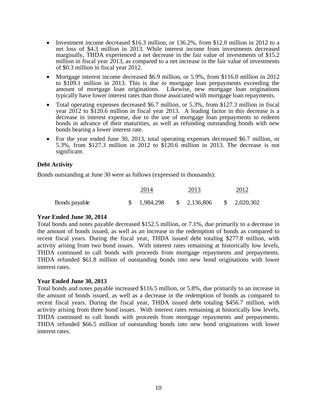- Investment income decreased \$16.3 million, or 136.2%, from \$12.0 million in 2012 to a net loss of \$4.3 million in 2013. While interest income from investments decreased marginally, THDA experienced a net decrease in the fair value of investments of \$15.2 million in fiscal year 2013, as compared to a net increase in the fair value of investments of \$0.3 million in fiscal year 2012.
- Mortgage interest income decreased \$6.9 million, or 5.9%, from \$116.0 million in 2012 to \$109.1 million in 2013. This is due to mortgage loan prepayments exceeding the amount of mortgage loan originations. Likewise, new mortgage loan originations typically have lower interest rates than those associated with mortgage loan repayments.
- Total operating expenses decreased \$6.7 million, or 5.3%, from \$127.3 million in fiscal year 2012 to \$120.6 million in fiscal year 2013. A leading factor in this decrease is a decrease in interest expense, due to the use of mortgage loan prepayments to redeem bonds in advance of their maturities, as well as refunding outstanding bonds with new bonds bearing a lower interest rate.
- For the year ended June 30, 2013, total operating expenses decreased \$6.7 million, or 5.3%, from \$127.3 million in 2012 to \$120.6 million in 2013. The decrease is not significant.

#### **Debt Activity**

Bonds outstanding at June 30 were as follows (expressed in thousands):

|               | 2014         | 2013        | 2012                      |
|---------------|--------------|-------------|---------------------------|
| Bonds payable | \$ 1,984,298 | \$2,136,806 | $\frac{1}{2}$ , 2,020,302 |

#### **Year Ended June 30, 2014**

Total bonds and notes payable decreased \$152.5 million, or 7.1%, due primarily to a decrease in the amount of bonds issued, as well as an increase in the redemption of bonds as compared to recent fiscal years. During the fiscal year, THDA issued debt totaling \$277.8 million, with activity arising from two bond issues. With interest rates remaining at historically low levels, THDA continued to call bonds with proceeds from mortgage repayments and prepayments. THDA refunded \$61.8 million of outstanding bonds into new bond originations with lower interest rates.

#### **Year Ended June 30, 2013**

Total bonds and notes payable increased \$116.5 million, or 5.8%, due primarily to an increase in the amount of bonds issued, as well as a decrease in the redemption of bonds as compared to recent fiscal years. During the fiscal year, THDA issued debt totaling \$456.7 million, with activity arising from three bond issues. With interest rates remaining at historically low levels, THDA continued to call bonds with proceeds from mortgage repayments and prepayments. THDA refunded \$66.5 million of outstanding bonds into new bond originations with lower interest rates.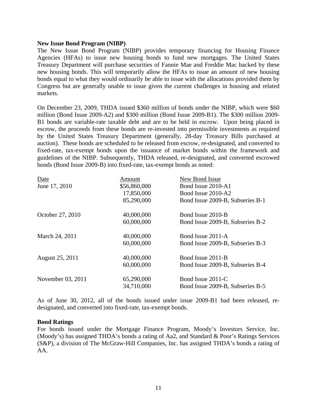#### **New Issue Bond Program (NIBP)**

The New Issue Bond Program (NIBP) provides temporary financing for Housing Finance Agencies (HFAs) to issue new housing bonds to fund new mortgages. The United States Treasury Department will purchase securities of Fannie Mae and Freddie Mac backed by these new housing bonds. This will temporarily allow the HFAs to issue an amount of new housing bonds equal to what they would ordinarily be able to issue with the allocations provided them by Congress but are generally unable to issue given the current challenges in housing and related markets.

On December 23, 2009, THDA issued \$360 million of bonds under the NIBP, which were \$60 million (Bond Issue 2009-A2) and \$300 million (Bond Issue 2009-B1). The \$300 million 2009- B1 bonds are variable-rate taxable debt and are to be held in escrow. Upon being placed in escrow, the proceeds from these bonds are re-invested into permissible investments as required by the United States Treasury Department (generally, 28-day Treasury Bills purchased at auction). These bonds are scheduled to be released from escrow, re-designated, and converted to fixed-rate, tax-exempt bonds upon the issuance of market bonds within the framework and guidelines of the NIBP. Subsequently, THDA released, re-designated, and converted escrowed bonds (Bond Issue 2009-B) into fixed-rate, tax-exempt bonds as noted:

| Date              | Amount       | New Bond Issue                   |
|-------------------|--------------|----------------------------------|
| June 17, 2010     | \$56,860,000 | Bond Issue 2010-A1               |
|                   | 17,850,000   | Bond Issue 2010-A2               |
|                   | 85,290,000   | Bond Issue 2009-B, Subseries B-1 |
| October 27, 2010  | 40,000,000   | Bond Issue 2010-B                |
|                   | 60,000,000   | Bond Issue 2009-B, Subseries B-2 |
| March 24, 2011    | 40,000,000   | Bond Issue 2011-A                |
|                   | 60,000,000   | Bond Issue 2009-B, Subseries B-3 |
| August 25, 2011   | 40,000,000   | Bond Issue 2011-B                |
|                   | 60,000,000   | Bond Issue 2009-B, Subseries B-4 |
| November 03, 2011 | 65,290,000   | Bond Issue 2011-C                |
|                   | 34,710,000   | Bond Issue 2009-B, Subseries B-5 |

As of June 30, 2012, all of the bonds issued under issue 2009-B1 had been released, redesignated, and converted into fixed-rate, tax-exempt bonds.

#### **Bond Ratings**

For bonds issued under the Mortgage Finance Program, Moody's Investors Service, Inc. (Moody's) has assigned THDA's bonds a rating of Aa2, and Standard & Poor's Ratings Services (S&P), a division of The McGraw-Hill Companies, Inc. has assigned THDA's bonds a rating of AA.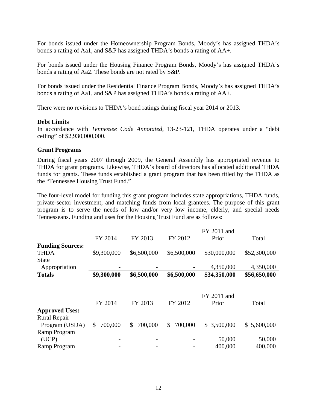For bonds issued under the Homeownership Program Bonds, Moody's has assigned THDA's bonds a rating of Aa1, and S&P has assigned THDA's bonds a rating of AA+.

For bonds issued under the Housing Finance Program Bonds, Moody's has assigned THDA's bonds a rating of Aa2. These bonds are not rated by S&P.

For bonds issued under the Residential Finance Program Bonds, Moody's has assigned THDA's bonds a rating of Aa1, and S&P has assigned THDA's bonds a rating of AA+.

There were no revisions to THDA's bond ratings during fiscal year 2014 or 2013.

#### **Debt Limits**

In accordance with *Tennessee Code Annotated,* 13-23-121, THDA operates under a "debt ceiling" of \$2,930,000,000.

#### **Grant Programs**

During fiscal years 2007 through 2009, the General Assembly has appropriated revenue to THDA for grant programs. Likewise, THDA's board of directors has allocated additional THDA funds for grants. These funds established a grant program that has been titled by the THDA as the "Tennessee Housing Trust Fund."

The four-level model for funding this grant program includes state appropriations, THDA funds, private-sector investment, and matching funds from local grantees. The purpose of this grant program is to serve the needs of low and/or very low income, elderly, and special needs Tennesseans. Funding and uses for the Housing Trust Fund are as follows:

|                         |               |               |               | FY 2011 and  |                 |
|-------------------------|---------------|---------------|---------------|--------------|-----------------|
|                         | FY 2014       | FY 2013       | FY 2012       | Prior        | Total           |
| <b>Funding Sources:</b> |               |               |               |              |                 |
| <b>THDA</b>             | \$9,300,000   | \$6,500,000   | \$6,500,000   | \$30,000,000 | \$52,300,000    |
| State                   |               |               |               |              |                 |
| Appropriation           |               |               |               | 4,350,000    | 4,350,000       |
| <b>Totals</b>           | \$9,300,000   | \$6,500,000   | \$6,500,000   | \$34,350,000 | \$56,650,000    |
|                         |               |               |               |              |                 |
|                         |               |               |               | FY 2011 and  |                 |
|                         | FY 2014       | FY 2013       | FY 2012       | Prior        | Total           |
| <b>Approved Uses:</b>   |               |               |               |              |                 |
| Rural Repair            |               |               |               |              |                 |
| Program (USDA)          | \$<br>700,000 | 700,000<br>\$ | 700,000<br>\$ | \$3,500,000  | 5,600,000<br>\$ |
| Ramp Program            |               |               |               |              |                 |
|                         |               |               |               |              |                 |
| (UCP)                   |               |               |               | 50,000       | 50,000          |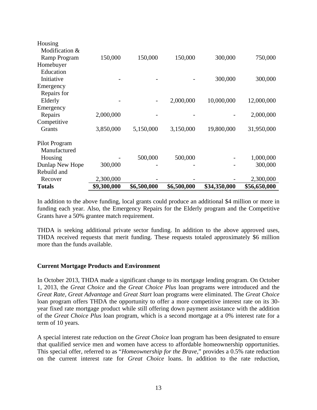| <b>Totals</b>                  | \$9,300,000 | \$6,500,000 | \$6,500,000 | \$34,350,000 | \$56,650,000 |
|--------------------------------|-------------|-------------|-------------|--------------|--------------|
| Recover                        | 2,300,000   |             |             |              | 2,300,000    |
| Rebuild and                    |             |             |             |              |              |
| Dunlap New Hope                | 300,000     |             |             |              | 300,000      |
| Manufactured<br>Housing        |             | 500,000     | 500,000     |              | 1,000,000    |
| Pilot Program                  |             |             |             |              |              |
| <b>Grants</b>                  | 3,850,000   | 5,150,000   | 3,150,000   | 19,800,000   | 31,950,000   |
| Competitive                    |             |             |             |              |              |
| Repairs                        | 2,000,000   |             |             |              | 2,000,000    |
| Emergency                      |             |             |             |              |              |
| Repairs for<br>Elderly         |             |             | 2,000,000   | 10,000,000   | 12,000,000   |
| Emergency                      |             |             |             |              |              |
| Initiative                     |             |             |             | 300,000      | 300,000      |
| Education                      |             |             |             |              |              |
| Homebuyer                      |             |             |             |              |              |
| Modification &<br>Ramp Program | 150,000     | 150,000     | 150,000     | 300,000      | 750,000      |
| Housing                        |             |             |             |              |              |

In addition to the above funding, local grants could produce an additional \$4 million or more in funding each year. Also, the Emergency Repairs for the Elderly program and the Competitive Grants have a 50% grantee match requirement.

THDA is seeking additional private sector funding. In addition to the above approved uses, THDA received requests that merit funding. These requests totaled approximately \$6 million more than the funds available.

#### **Current Mortgage Products and Environment**

In October 2013, THDA made a significant change to its mortgage lending program. On October 1, 2013, the *Great Choice* and the *Great Choice Plus* loan programs were introduced and the *Great Rate*, *Great Advantage* and *Great Start* loan programs were eliminated. The *Great Choice* loan program offers THDA the opportunity to offer a more competitive interest rate on its 30 year fixed rate mortgage product while still offering down payment assistance with the addition of the *Great Choice Plus* loan program, which is a second mortgage at a 0% interest rate for a term of 10 years.

A special interest rate reduction on the *Great Choice* loan program has been designated to ensure that qualified service men and women have access to affordable homeownership opportunities. This special offer, referred to as "*Homeownership for the Brave,*" provides a 0.5% rate reduction on the current interest rate for *Great Choice* loans. In addition to the rate reduction,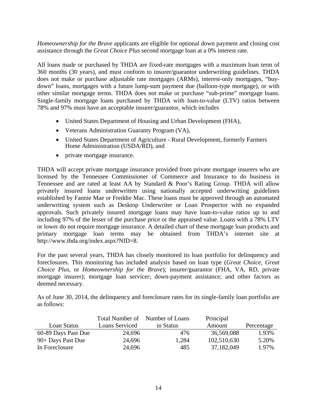*Homeownership for the Brave* applicants are eligible for optional down payment and closing cost assistance through the *Great Choice Plus* second mortgage loan at a 0% interest rate.

All loans made or purchased by THDA are fixed-rate mortgages with a maximum loan term of 360 months (30 years), and must conform to insurer/guarantor underwriting guidelines. THDA does not make or purchase adjustable rate mortgages (ARMs), interest-only mortgages, "buydown" loans, mortgages with a future lump-sum payment due (balloon-type mortgage), or with other similar mortgage terms. THDA does not make or purchase "sub-prime" mortgage loans. Single-family mortgage loans purchased by THDA with loan-to-value (LTV) ratios between 78% and 97% must have an acceptable insurer/guarantor, which includes

- United States Department of Housing and Urban Development (FHA),
- Veterans Administration Guaranty Program (VA),
- United States Department of Agriculture Rural Development, formerly Farmers Home Administration (USDA/RD), and
- private mortgage insurance.

THDA will accept private mortgage insurance provided from private mortgage insurers who are licensed by the Tennessee Commissioner of Commerce and Insurance to do business in Tennessee and are rated at least AA by Standard & Poor's Rating Group. THDA will allow privately insured loans underwritten using nationally accepted underwriting guidelines established by Fannie Mae or Freddie Mac. These loans must be approved through an automated underwriting system such as Desktop Underwriter or Loan Prospector with no expanded approvals. Such privately insured mortgage loans may have loan-to-value ratios up to and including 97% of the lesser of the purchase price or the appraised value. Loans with a 78% LTV or lower do not require mortgage insurance. A detailed chart of these mortgage loan products and primary mortgage loan terms may be obtained from THDA's internet site at http://www.thda.org/index.aspx?NID=8.

For the past several years, THDA has closely monitored its loan portfolio for delinquency and foreclosures. This monitoring has included analysis based on loan type (*Great Choice, Great Choice Plus,* or *Homeownership for the Brave*); insurer/guarantor (FHA, VA, RD, private mortgage insurer); mortgage loan servicer; down-payment assistance; and other factors as deemed necessary.

As of June 30, 2014, the delinquency and foreclosure rates for its single-family loan portfolio are as follows:

|                     |                | Total Number of Number of Loans | Principal   |            |
|---------------------|----------------|---------------------------------|-------------|------------|
| Loan Status         | Loans Serviced | in Status                       | Amount      | Percentage |
| 60-89 Days Past Due | 24,696         | 476                             | 36,569,088  | 1.93%      |
| 90+ Days Past Due   | 24,696         | 1,284                           | 102,510,630 | 5.20%      |
| In Foreclosure      | 24,696         | 485                             | 37,182,049  | 1.97%      |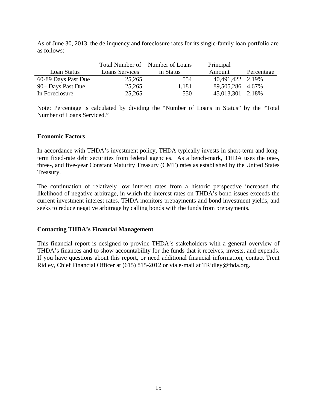As of June 30, 2013, the delinquency and foreclosure rates for its single-family loan portfolio are as follows:

|                     |                | Total Number of Number of Loans | Principal        |            |
|---------------------|----------------|---------------------------------|------------------|------------|
| Loan Status         | Loans Services | in Status                       | Amount           | Percentage |
| 60-89 Days Past Due | 25,265         | 554                             | 40,491,422 2.19% |            |
| 90+ Days Past Due   | 25,265         | 1,181                           | 89,505,286 4.67% |            |
| In Foreclosure      | 25,265         | 550                             | 45,013,301 2.18% |            |

Note: Percentage is calculated by dividing the "Number of Loans in Status" by the "Total Number of Loans Serviced."

#### **Economic Factors**

In accordance with THDA's investment policy, THDA typically invests in short-term and longterm fixed-rate debt securities from federal agencies. As a bench-mark, THDA uses the one-, three-, and five-year Constant Maturity Treasury (CMT) rates as established by the United States Treasury.

The continuation of relatively low interest rates from a historic perspective increased the likelihood of negative arbitrage, in which the interest rates on THDA's bond issues exceeds the current investment interest rates. THDA monitors prepayments and bond investment yields, and seeks to reduce negative arbitrage by calling bonds with the funds from prepayments.

#### **Contacting THDA's Financial Management**

This financial report is designed to provide THDA's stakeholders with a general overview of THDA's finances and to show accountability for the funds that it receives, invests, and expends. If you have questions about this report, or need additional financial information, contact Trent Ridley, Chief Financial Officer at (615) 815-2012 or via e-mail at TRidley@thda.org.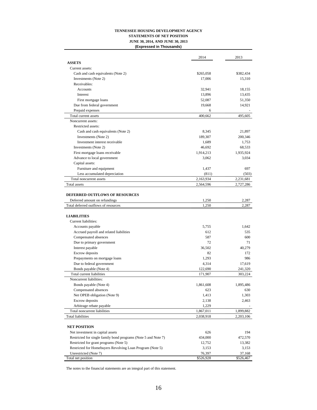#### **TENNESSEE HOUSING DEVELOPMENT AGENCY STATEMENTS OF NET POSITION JUNE 30, 2014, AND JUNE 30, 2013 (Expressed in Thousands)**

|                                                                        | 2014      | 2013      |
|------------------------------------------------------------------------|-----------|-----------|
| <b>ASSETS</b>                                                          |           |           |
| Current assets:                                                        |           |           |
| Cash and cash equivalents (Note 2)                                     | \$265,058 | \$382,434 |
| Investments (Note 2)                                                   | 17,006    | 15,310    |
| Receivables:                                                           |           |           |
| Accounts                                                               | 32,941    | 18,155    |
| Interest                                                               | 13,896    | 13,435    |
| First mortgage loans                                                   | 52,087    | 51,350    |
| Due from federal government                                            | 19,668    | 14,921    |
| Prepaid expenses                                                       | 6         |           |
| Total current assets                                                   | 400,662   | 495,605   |
| Noncurrent assets:                                                     |           |           |
| <b>Restricted assets:</b>                                              |           |           |
| Cash and cash equivalents (Note 2)                                     | 8,345     | 21,897    |
| Investments (Note 2)                                                   | 189,307   | 200,346   |
| Investment interest receivable                                         | 1,689     | 1,753     |
| Investments (Note 2)                                                   | 46,692    | 68,533    |
| First mortgage loans receivable                                        | 1,914,213 | 1,935,924 |
| Advance to local government                                            | 3,062     | 3,034     |
| Capital assets:                                                        |           |           |
| Furniture and equipment                                                | 1,437     | 697       |
| Less accumulated depreciation                                          | (811)     | (503)     |
| Total noncurrent assets                                                | 2,163,934 | 2,231,681 |
| <b>Total assets</b>                                                    | 2,564,596 | 2,727,286 |
| <b>DEFERRED OUTFLOWS OF RESOURCES</b><br>Deferred amount on refundings | 1,250     | 2,287     |
| Total deferred outflows of resources                                   | 1,250     | 2,287     |
| <b>LIABILITIES</b><br>Current liabilities:                             |           |           |
| Accounts payable                                                       | 5,755     | 1,642     |
| Accrued payroll and related liabilities                                | 612       | 535       |
| Compensated absences                                                   | 587       | 600       |
| Due to primary government                                              | 72        | 71        |
| Interest payable                                                       | 36,502    | 40,279    |
| Escrow deposits                                                        | 82        | 172       |
| Prepayments on mortgage loans                                          | 1,293     | 986       |
| Due to federal government                                              | 4,314     | 17,619    |
| Bonds payable (Note 4)                                                 | 122,690   | 241,320   |
| Total current liabilities                                              | 171,907   | 303,224   |
| Noncurrent liabilities:                                                |           |           |
| Bonds payable (Note 4)                                                 | 1,861,608 | 1,895,486 |
| Compensated absences                                                   | 623       | 630       |
| Net OPEB obligation (Note 9)                                           | 1,413     | 1,303     |
| Escrow deposits                                                        | 2,138     | 2,463     |
| Arbitrage rebate payable                                               | 1,229     |           |
| Total noncurrent liabilities                                           | 1,867,011 | 1,899,882 |
| <b>Total liabilities</b>                                               | 2,038,918 | 2,203,106 |
|                                                                        |           |           |
| <b>NET POSITION</b>                                                    |           |           |
| Net investment in capital assets                                       | 626       | 194       |
| Restricted for single family bond programs (Note 5 and Note 7)         | 434,000   | 472,570   |
| Restricted for grant programs (Note 5)                                 | 12,752    | 13,382    |
| Restricted for Homebuyers Revolving Loan Program (Note 5)              | 3,153     | 3,153     |
| Unrestricted (Note 7)                                                  | 76,397    | 37,168    |
| Total net position                                                     | \$526,928 | \$526,467 |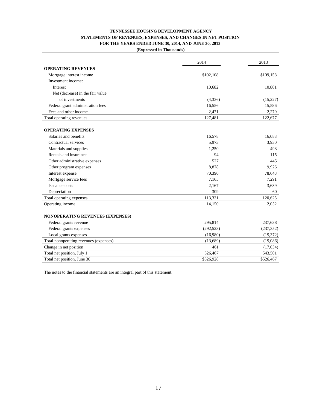#### **TENNESSEE HOUSING DEVELOPMENT AGENCY STATEMENTS OF REVENUES, EXPENSES, AND CHANGES IN NET POSITION FOR THE YEARS ENDED JUNE 30, 2014, AND JUNE 30, 2013 (Expressed in Thousands)**

|                                         | 2014       | 2013       |
|-----------------------------------------|------------|------------|
| <b>OPERATING REVENUES</b>               |            |            |
| Mortgage interest income                | \$102,108  | \$109,158  |
| Investment income:                      |            |            |
| Interest                                | 10,682     | 10,881     |
| Net (decrease) in the fair value        |            |            |
| of investments                          | (4,336)    | (15,227)   |
| Federal grant administration fees       | 16,556     | 15,586     |
| Fees and other income                   | 2,471      | 2,279      |
| Total operating revenues                | 127,481    | 122,677    |
|                                         |            |            |
| <b>OPERATING EXPENSES</b>               |            |            |
| Salaries and benefits                   | 16,578     | 16,083     |
| Contractual services                    | 5,973      | 3,930      |
| Materials and supplies                  | 1,250      | 493        |
| Rentals and insurance                   | 94         | 115        |
| Other administrative expenses           | 527        | 445        |
| Other program expenses                  | 8,878      | 9,926      |
| Interest expense                        | 70,390     | 78,643     |
| Mortgage service fees                   | 7.165      | 7,291      |
| Issuance costs                          | 2,167      | 3,639      |
| Depreciation                            | 309        | 60         |
| Total operating expenses                | 113,331    | 120,625    |
| Operating income                        | 14,150     | 2,052      |
| <b>NONOPERATING REVENUES (EXPENSES)</b> |            |            |
| Federal grants revenue                  | 295,814    | 237,638    |
| Federal grants expenses                 | (292, 523) | (237, 352) |
| Local grants expenses                   | (16,980)   | (19, 372)  |
| Total nonoperating revenues (expenses)  | (13,689)   | (19,086)   |
| Change in net position                  | 461        | (17,034)   |
| Total net position, July 1              | 526,467    | 543,501    |
| Total net position, June 30             | \$526,928  | \$526,467  |
|                                         |            |            |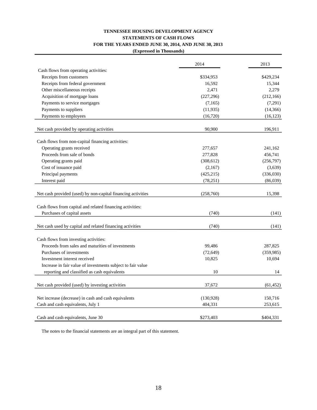#### **TENNESSEE HOUSING DEVELOPMENT AGENCY STATEMENTS OF CASH FLOWS FOR THE YEARS ENDED JUNE 30, 2014, AND JUNE 30, 2013 (Expressed in Thousands)**

|                                                              | 2014       | 2013       |
|--------------------------------------------------------------|------------|------------|
| Cash flows from operating activities:                        |            |            |
| Receipts from customers                                      | \$334,953  | \$429,234  |
| Receipts from federal government                             | 16,592     | 15,344     |
| Other miscellaneous receipts                                 | 2,471      | 2,279      |
| Acquisition of mortgage loans                                | (227, 296) | (212, 166) |
| Payments to service mortgages                                | (7,165)    | (7,291)    |
| Payments to suppliers                                        | (11, 935)  | (14, 366)  |
| Payments to employees                                        | (16,720)   | (16, 123)  |
| Net cash provided by operating activities                    | 90,900     | 196,911    |
| Cash flows from non-capital financing activities:            |            |            |
| Operating grants received                                    | 277,657    | 241,162    |
| Proceeds from sale of bonds                                  | 277,828    | 456,741    |
| Operating grants paid                                        | (308, 612) | (256,797)  |
| Cost of issuance paid                                        | (2,167)    | (3,639)    |
| Principal payments                                           | (425, 215) | (336,030)  |
| Interest paid                                                | (78, 251)  | (86,039)   |
| Net cash provided (used) by non-capital financing activities | (258,760)  | 15,398     |
| Cash flows from capital and related financing activities:    |            |            |
| Purchases of capital assets                                  | (740)      | (141)      |
| Net cash used by capital and related financing activities    | (740)      | (141)      |
| Cash flows from investing activities:                        |            |            |
| Proceeds from sales and maturities of investments            | 99,486     | 287,825    |
| Purchases of investments                                     | (72, 649)  | (359, 985) |
| Investment interest received                                 | 10,825     | 10,694     |
| Increase in fair value of investments subject to fair value  |            |            |
| reporting and classified as cash equivalents                 | 10         | 14         |
| Net cash provided (used) by investing activities             | 37,672     | (61, 452)  |
| Net increase (decrease) in cash and cash equivalents         | (130,928)  | 150,716    |
| Cash and cash equivalents, July 1                            | 404,331    | 253,615    |
|                                                              |            |            |
| Cash and cash equivalents, June 30                           | \$273,403  | \$404,331  |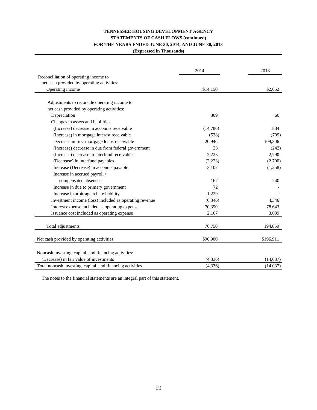#### **(Expressed in Thousands) TENNESSEE HOUSING DEVELOPMENT AGENCY STATEMENTS OF CASH FLOWS (continued) FOR THE YEARS ENDED JUNE 30, 2014, AND JUNE 30, 2013**

|                                                            | 2014     | 2013      |
|------------------------------------------------------------|----------|-----------|
| Reconciliation of operating income to                      |          |           |
| net cash provided by operating activities:                 |          |           |
| Operating income                                           | \$14,150 | \$2,052   |
|                                                            |          |           |
| Adjustments to reconcile operating income to               |          |           |
| net cash provided by operating activities:                 |          |           |
| Depreciation                                               | 309      | 60        |
| Changes in assets and liabilities:                         |          |           |
| (Increase) decrease in accounts receivable                 | (14,786) | 834       |
| (Increase) in mortgage interest receivable                 | (538)    | (709)     |
| Decrease in first mortgage loans receivable                | 20,946   | 109,306   |
| (Increase) decrease in due from federal government         | 33       | (242)     |
| (Increase) decrease in interfund receivables               | 2,223    | 2,790     |
| (Decrease) in interfund payables                           | (2,223)  | (2,790)   |
| Increase (Decrease) in accounts payable                    | 3,107    | (1,258)   |
| Increase in accrued payroll /                              |          |           |
| compensated absences                                       | 167      | 240       |
| Increase in due to primary government                      | 72       |           |
| Increase in arbitrage rebate liability                     | 1,229    |           |
| Investment income (loss) included as operating revenue     | (6,346)  | 4,346     |
| Interest expense included as operating expense             | 70,390   | 78,643    |
| Issuance cost included as operating expense                | 2,167    | 3,639     |
|                                                            |          |           |
| Total adjustments                                          | 76,750   | 194,859   |
|                                                            |          |           |
| Net cash provided by operating activities                  | \$90,900 | \$196,911 |
|                                                            |          |           |
| Noncash investing, capital, and financing activities:      |          |           |
| (Decrease) in fair value of investments                    | (4, 336) | (14,037)  |
| Total noncash investing, capital, and financing activities | (4, 336) | (14, 037) |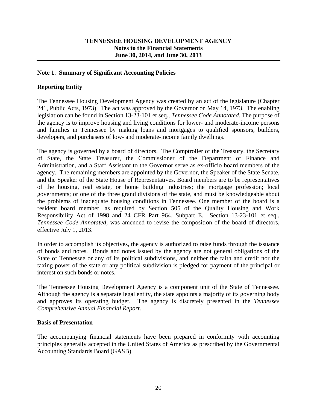#### **Note 1. Summary of Significant Accounting Policies**

#### **Reporting Entity**

The Tennessee Housing Development Agency was created by an act of the legislature (Chapter 241, Public Acts, 1973). The act was approved by the Governor on May 14, 1973. The enabling legislation can be found in Section 13-23-101 et seq., *Tennessee Code Annotated.* The purpose of the agency is to improve housing and living conditions for lower- and moderate-income persons and families in Tennessee by making loans and mortgages to qualified sponsors, builders, developers, and purchasers of low- and moderate-income family dwellings.

The agency is governed by a board of directors. The Comptroller of the Treasury, the Secretary of State, the State Treasurer, the Commissioner of the Department of Finance and Administration, and a Staff Assistant to the Governor serve as ex-officio board members of the agency. The remaining members are appointed by the Governor, the Speaker of the State Senate, and the Speaker of the State House of Representatives. Board members are to be representatives of the housing, real estate, or home building industries; the mortgage profession; local governments; or one of the three grand divisions of the state, and must be knowledgeable about the problems of inadequate housing conditions in Tennessee. One member of the board is a resident board member, as required by Section 505 of the Quality Housing and Work Responsibility Act of 1998 and 24 CFR Part 964, Subpart E. Section 13-23-101 et seq., *Tennessee Code Annotated,* was amended to revise the composition of the board of directors, effective July 1, 2013.

In order to accomplish its objectives, the agency is authorized to raise funds through the issuance of bonds and notes. Bonds and notes issued by the agency are not general obligations of the State of Tennessee or any of its political subdivisions, and neither the faith and credit nor the taxing power of the state or any political subdivision is pledged for payment of the principal or interest on such bonds or notes.

The Tennessee Housing Development Agency is a component unit of the State of Tennessee. Although the agency is a separate legal entity, the state appoints a majority of its governing body and approves its operating budget. The agency is discretely presented in the *Tennessee Comprehensive Annual Financial Report*.

#### **Basis of Presentation**

The accompanying financial statements have been prepared in conformity with accounting principles generally accepted in the United States of America as prescribed by the Governmental Accounting Standards Board (GASB).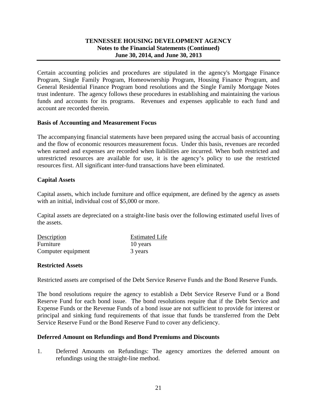Certain accounting policies and procedures are stipulated in the agency's Mortgage Finance Program, Single Family Program, Homeownership Program, Housing Finance Program, and General Residential Finance Program bond resolutions and the Single Family Mortgage Notes trust indenture. The agency follows these procedures in establishing and maintaining the various funds and accounts for its programs. Revenues and expenses applicable to each fund and account are recorded therein.

#### **Basis of Accounting and Measurement Focus**

The accompanying financial statements have been prepared using the accrual basis of accounting and the flow of economic resources measurement focus. Under this basis, revenues are recorded when earned and expenses are recorded when liabilities are incurred. When both restricted and unrestricted resources are available for use, it is the agency's policy to use the restricted resources first. All significant inter-fund transactions have been eliminated.

#### **Capital Assets**

Capital assets, which include furniture and office equipment, are defined by the agency as assets with an initial, individual cost of \$5,000 or more.

Capital assets are depreciated on a straight-line basis over the following estimated useful lives of the assets.

| Description        | <b>Estimated Life</b> |
|--------------------|-----------------------|
| Furniture          | 10 years              |
| Computer equipment | 3 years               |

#### **Restricted Assets**

Restricted assets are comprised of the Debt Service Reserve Funds and the Bond Reserve Funds.

The bond resolutions require the agency to establish a Debt Service Reserve Fund or a Bond Reserve Fund for each bond issue. The bond resolutions require that if the Debt Service and Expense Funds or the Revenue Funds of a bond issue are not sufficient to provide for interest or principal and sinking fund requirements of that issue that funds be transferred from the Debt Service Reserve Fund or the Bond Reserve Fund to cover any deficiency.

#### **Deferred Amount on Refundings and Bond Premiums and Discounts**

1. Deferred Amounts on Refundings: The agency amortizes the deferred amount on refundings using the straight-line method.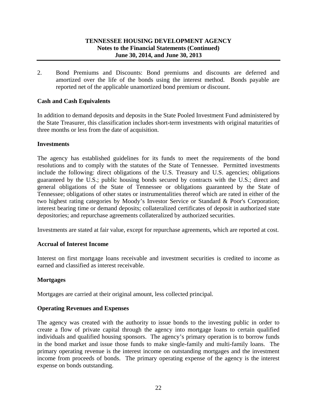2. Bond Premiums and Discounts: Bond premiums and discounts are deferred and amortized over the life of the bonds using the interest method. Bonds payable are reported net of the applicable unamortized bond premium or discount.

#### **Cash and Cash Equivalents**

In addition to demand deposits and deposits in the State Pooled Investment Fund administered by the State Treasurer, this classification includes short-term investments with original maturities of three months or less from the date of acquisition.

#### **Investments**

The agency has established guidelines for its funds to meet the requirements of the bond resolutions and to comply with the statutes of the State of Tennessee. Permitted investments include the following: direct obligations of the U.S. Treasury and U.S. agencies; obligations guaranteed by the U.S.; public housing bonds secured by contracts with the U.S.; direct and general obligations of the State of Tennessee or obligations guaranteed by the State of Tennessee; obligations of other states or instrumentalities thereof which are rated in either of the two highest rating categories by Moody's Investor Service or Standard & Poor's Corporation; interest bearing time or demand deposits; collateralized certificates of deposit in authorized state depositories; and repurchase agreements collateralized by authorized securities.

Investments are stated at fair value, except for repurchase agreements, which are reported at cost.

#### **Accrual of Interest Income**

Interest on first mortgage loans receivable and investment securities is credited to income as earned and classified as interest receivable.

#### **Mortgages**

Mortgages are carried at their original amount, less collected principal.

#### **Operating Revenues and Expenses**

The agency was created with the authority to issue bonds to the investing public in order to create a flow of private capital through the agency into mortgage loans to certain qualified individuals and qualified housing sponsors. The agency's primary operation is to borrow funds in the bond market and issue those funds to make single-family and multi-family loans. The primary operating revenue is the interest income on outstanding mortgages and the investment income from proceeds of bonds. The primary operating expense of the agency is the interest expense on bonds outstanding.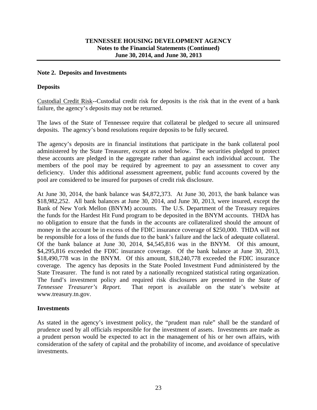#### **Note 2. Deposits and Investments**

#### **Deposits**

Custodial Credit Risk--Custodial credit risk for deposits is the risk that in the event of a bank failure, the agency's deposits may not be returned.

The laws of the State of Tennessee require that collateral be pledged to secure all uninsured deposits. The agency's bond resolutions require deposits to be fully secured.

The agency's deposits are in financial institutions that participate in the bank collateral pool administered by the State Treasurer, except as noted below. The securities pledged to protect these accounts are pledged in the aggregate rather than against each individual account. The members of the pool may be required by agreement to pay an assessment to cover any deficiency. Under this additional assessment agreement, public fund accounts covered by the pool are considered to be insured for purposes of credit risk disclosure.

At June 30, 2014, the bank balance was \$4,872,373. At June 30, 2013, the bank balance was \$18,982,252. All bank balances at June 30, 2014, and June 30, 2013, were insured, except the Bank of New York Mellon (BNYM) accounts. The U.S. Department of the Treasury requires the funds for the Hardest Hit Fund program to be deposited in the BNYM accounts. THDA has no obligation to ensure that the funds in the accounts are collateralized should the amount of money in the account be in excess of the FDIC insurance coverage of \$250,000. THDA will not be responsible for a loss of the funds due to the bank's failure and the lack of adequate collateral. Of the bank balance at June 30, 2014, \$4,545,816 was in the BNYM. Of this amount, \$4,295,816 exceeded the FDIC insurance coverage. Of the bank balance at June 30, 2013, \$18,490,778 was in the BNYM. Of this amount, \$18,240,778 exceeded the FDIC insurance coverage. The agency has deposits in the State Pooled Investment Fund administered by the State Treasurer. The fund is not rated by a nationally recognized statistical rating organization. The fund's investment policy and required risk disclosures are presented in the *State of Tennessee Treasurer's Report.* That report is available on the state's website at www.treasury.tn.gov.

#### **Investments**

As stated in the agency's investment policy, the "prudent man rule" shall be the standard of prudence used by all officials responsible for the investment of assets. Investments are made as a prudent person would be expected to act in the management of his or her own affairs, with consideration of the safety of capital and the probability of income, and avoidance of speculative investments.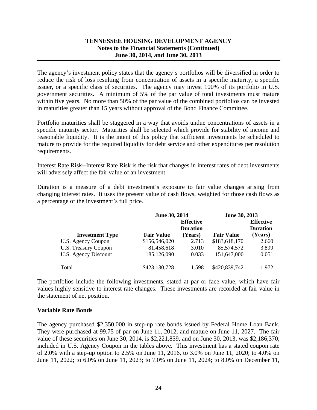The agency's investment policy states that the agency's portfolios will be diversified in order to reduce the risk of loss resulting from concentration of assets in a specific maturity, a specific issuer, or a specific class of securities. The agency may invest 100% of its portfolio in U.S. government securities. A minimum of 5% of the par value of total investments must mature within five years. No more than 50% of the par value of the combined portfolios can be invested in maturities greater than 15 years without approval of the Bond Finance Committee.

Portfolio maturities shall be staggered in a way that avoids undue concentrations of assets in a specific maturity sector. Maturities shall be selected which provide for stability of income and reasonable liquidity. It is the intent of this policy that sufficient investments be scheduled to mature to provide for the required liquidity for debt service and other expenditures per resolution requirements.

Interest Rate Risk--Interest Rate Risk is the risk that changes in interest rates of debt investments will adversely affect the fair value of an investment.

Duration is a measure of a debt investment's exposure to fair value changes arising from changing interest rates. It uses the present value of cash flows, weighted for those cash flows as a percentage of the investment's full price.

|                             | June 30, 2014     |                                     | June 30, 2013     |                                     |  |
|-----------------------------|-------------------|-------------------------------------|-------------------|-------------------------------------|--|
|                             |                   | <b>Effective</b><br><b>Duration</b> |                   | <b>Effective</b><br><b>Duration</b> |  |
| <b>Investment Type</b>      | <b>Fair Value</b> | (Years)                             | <b>Fair Value</b> | (Years)                             |  |
| U.S. Agency Coupon          | \$156,546,020     | 2.713                               | \$183,618,170     | 2.660                               |  |
| <b>U.S. Treasury Coupon</b> | 81,458,618        | 3.010                               | 85,574,572        | 3.899                               |  |
| U.S. Agency Discount        | 185,126,090       | 0.033                               | 151,647,000       | 0.051                               |  |
| Total                       | \$423,130,728     | 1.598                               | \$420,839,742     | 1.972                               |  |

The portfolios include the following investments, stated at par or face value, which have fair values highly sensitive to interest rate changes. These investments are recorded at fair value in the statement of net position.

#### **Variable Rate Bonds**

The agency purchased \$2,350,000 in step-up rate bonds issued by Federal Home Loan Bank. They were purchased at 99.75 of par on June 11, 2012, and mature on June 11, 2027. The fair value of these securities on June 30, 2014, is \$2,221,859, and on June 30, 2013, was \$2,186,370, included in U.S. Agency Coupon in the tables above. This investment has a stated coupon rate of 2.0% with a step-up option to 2.5% on June 11, 2016, to 3.0% on June 11, 2020; to 4.0% on June 11, 2022; to 6.0% on June 11, 2023; to 7.0% on June 11, 2024; to 8.0% on December 11,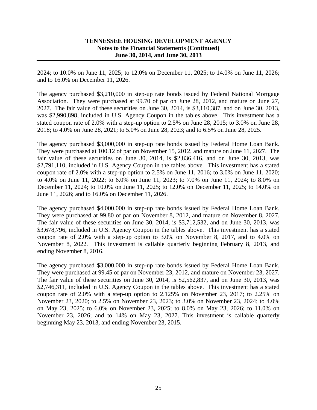2024; to 10.0% on June 11, 2025; to 12.0% on December 11, 2025; to 14.0% on June 11, 2026; and to 16.0% on December 11, 2026.

The agency purchased \$3,210,000 in step-up rate bonds issued by Federal National Mortgage Association. They were purchased at 99.70 of par on June 28, 2012, and mature on June 27, 2027. The fair value of these securities on June 30, 2014, is \$3,110,387, and on June 30, 2013, was \$2,990,898, included in U.S. Agency Coupon in the tables above. This investment has a stated coupon rate of 2.0% with a step-up option to 2.5% on June 28, 2015; to 3.0% on June 28, 2018; to 4.0% on June 28, 2021; to 5.0% on June 28, 2023; and to 6.5% on June 28, 2025.

The agency purchased \$3,000,000 in step-up rate bonds issued by Federal Home Loan Bank. They were purchased at 100.12 of par on November 15, 2012, and mature on June 11, 2027. The fair value of these securities on June 30, 2014, is \$2,836,416, and on June 30, 2013, was \$2,791,110, included in U.S. Agency Coupon in the tables above. This investment has a stated coupon rate of 2.0% with a step-up option to 2.5% on June 11, 2016; to 3.0% on June 11, 2020; to 4.0% on June 11, 2022; to 6.0% on June 11, 2023; to 7.0% on June 11, 2024; to 8.0% on December 11, 2024; to 10.0% on June 11, 2025; to 12.0% on December 11, 2025; to 14.0% on June 11, 2026; and to 16.0% on December 11, 2026.

The agency purchased \$4,000,000 in step-up rate bonds issued by Federal Home Loan Bank. They were purchased at 99.80 of par on November 8, 2012, and mature on November 8, 2027. The fair value of these securities on June 30, 2014, is \$3,712,532, and on June 30, 2013, was \$3,678,796, included in U.S. Agency Coupon in the tables above. This investment has a stated coupon rate of 2.0% with a step-up option to 3.0% on November 8, 2017, and to 4.0% on November 8, 2022. This investment is callable quarterly beginning February 8, 2013, and ending November 8, 2016.

The agency purchased \$3,000,000 in step-up rate bonds issued by Federal Home Loan Bank. They were purchased at 99.45 of par on November 23, 2012, and mature on November 23, 2027. The fair value of these securities on June 30, 2014, is \$2,562,837, and on June 30, 2013, was \$2,746,311, included in U.S. Agency Coupon in the tables above. This investment has a stated coupon rate of 2.0% with a step-up option to 2.125% on November 23, 2017; to 2.25% on November 23, 2020; to 2.5% on November 23, 2023; to 3.0% on November 23, 2024; to 4.0% on May 23, 2025; to 6.0% on November 23, 2025; to 8.0% on May 23, 2026; to 11.0% on November 23, 2026; and to 14% on May 23, 2027. This investment is callable quarterly beginning May 23, 2013, and ending November 23, 2015.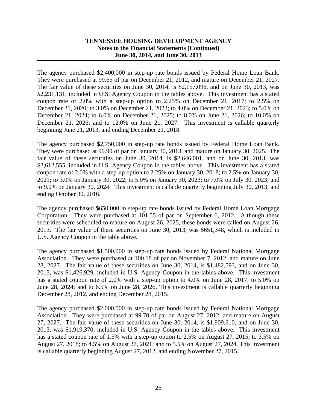The agency purchased \$2,400,000 in step-up rate bonds issued by Federal Home Loan Bank. They were purchased at 99.65 of par on December 21, 2012, and mature on December 21, 2027. The fair value of these securities on June 30, 2014, is \$2,157,096, and on June 30, 2013, was \$2,231,131, included in U.S. Agency Coupon in the tables above. This investment has a stated coupon rate of 2.0% with a step-up option to 2.25% on December 21, 2017; to 2.5% on December 21, 2020; to 3.0% on December 21, 2022; to 4.0% on December 21, 2023; to 5.0% on December 21, 2024; to 6.0% on December 21, 2025; to 8.0% on June 21, 2026; to 10.0% on December 21, 2026; and to 12.0% on June 21, 2027. This investment is callable quarterly beginning June 21, 2013, and ending December 21, 2018.

The agency purchased \$2,750,000 in step-up rate bonds issued by Federal Home Loan Bank. They were purchased at 99.90 of par on January 30, 2013, and mature on January 30, 2025. The fair value of these securities on June 30, 2014, is  $$2,646,001$ , and on June 30, 2013, was \$2,612,555, included in U.S. Agency Coupon in the tables above. This investment has a stated coupon rate of 2.0% with a step-up option to 2.25% on January 30, 2018; to 2.5% on January 30, 2021; to 3.0% on January 30, 2022; to 5.0% on January 30, 2023; to 7.0% on July 30, 2023; and to 9.0% on January 30, 2024. This investment is callable quarterly beginning July 30, 2013, and ending October 30, 2016.

The agency purchased \$650,000 in step-up rate bonds issued by Federal Home Loan Mortgage Corporation. They were purchased at 101.55 of par on September 6, 2012. Although these securities were scheduled to mature on August 26, 2025, these bonds were called on August 26, 2013. The fair value of these securities on June 30, 2013, was \$651,348, which is included in U.S. Agency Coupon in the table above.

The agency purchased \$1,500,000 in step-up rate bonds issued by Federal National Mortgage Association. They were purchased at 100.18 of par on November 7, 2012, and mature on June 28, 2027. The fair value of these securities on June 30, 2014, is \$1,482,593, and on June 30, 2013, was \$1,426,929, included in U.S. Agency Coupon in the tables above. This investment has a stated coupon rate of 2.0% with a step-up option to 4.0% on June 28, 2017; to 5.0% on June 28, 2024; and to 6.5% on June 28, 2026. This investment is callable quarterly beginning December 28, 2012, and ending December 28, 2015.

The agency purchased \$2,000,000 in step-up rate bonds issued by Federal National Mortgage Association. They were purchased at 99.70 of par on August 27, 2012, and mature on August 27, 2027. The fair value of these securities on June 30, 2014, is \$1,909,610, and on June 30, 2013, was \$1,919,370, included in U.S. Agency Coupon in the tables above. This investment has a stated coupon rate of 1.5% with a step-up option to 2.5% on August 27, 2015; to 3.5% on August 27, 2018; to 4.5% on August 27, 2021; and to 5.5% on August 27, 2024. This investment is callable quarterly beginning August 27, 2012, and ending November 27, 2015.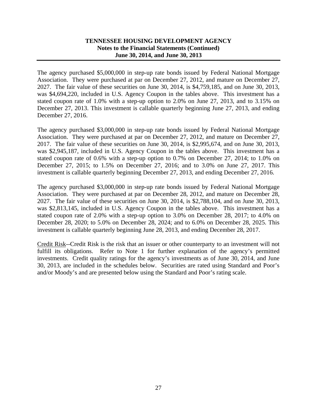The agency purchased \$5,000,000 in step-up rate bonds issued by Federal National Mortgage Association. They were purchased at par on December 27, 2012, and mature on December 27, 2027. The fair value of these securities on June 30, 2014, is \$4,759,185, and on June 30, 2013, was \$4,694,220, included in U.S. Agency Coupon in the tables above. This investment has a stated coupon rate of 1.0% with a step-up option to 2.0% on June 27, 2013, and to 3.15% on December 27, 2013. This investment is callable quarterly beginning June 27, 2013, and ending December 27, 2016.

The agency purchased \$3,000,000 in step-up rate bonds issued by Federal National Mortgage Association. They were purchased at par on December 27, 2012, and mature on December 27, 2017. The fair value of these securities on June 30, 2014, is \$2,995,674, and on June 30, 2013, was \$2,945,187, included in U.S. Agency Coupon in the tables above. This investment has a stated coupon rate of 0.6% with a step-up option to 0.7% on December 27, 2014; to 1.0% on December 27, 2015; to 1.5% on December 27, 2016; and to 3.0% on June 27, 2017. This investment is callable quarterly beginning December 27, 2013, and ending December 27, 2016.

The agency purchased \$3,000,000 in step-up rate bonds issued by Federal National Mortgage Association. They were purchased at par on December 28, 2012, and mature on December 28, 2027. The fair value of these securities on June 30, 2014, is \$2,788,104, and on June 30, 2013, was \$2,813,145, included in U.S. Agency Coupon in the tables above. This investment has a stated coupon rate of 2.0% with a step-up option to 3.0% on December 28, 2017; to 4.0% on December 28, 2020; to 5.0% on December 28, 2024; and to 6.0% on December 28, 2025. This investment is callable quarterly beginning June 28, 2013, and ending December 28, 2017.

Credit Risk--Credit Risk is the risk that an issuer or other counterparty to an investment will not fulfill its obligations. Refer to Note 1 for further explanation of the agency's permitted investments. Credit quality ratings for the agency's investments as of June 30, 2014, and June 30, 2013, are included in the schedules below. Securities are rated using Standard and Poor's and/or Moody's and are presented below using the Standard and Poor's rating scale.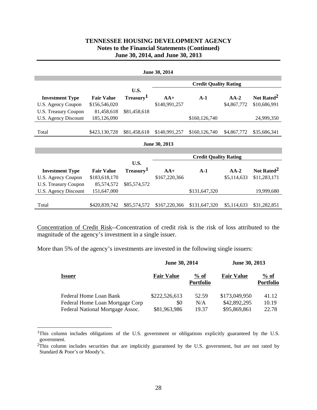| June 30, 2014                                       |                                    |                               |                        |                              |                       |                                        |
|-----------------------------------------------------|------------------------------------|-------------------------------|------------------------|------------------------------|-----------------------|----------------------------------------|
|                                                     |                                    |                               |                        | <b>Credit Quality Rating</b> |                       |                                        |
| <b>Investment Type</b><br>U.S. Agency Coupon        | <b>Fair Value</b><br>\$156,546,020 | U.S.<br>Treasury <sup>1</sup> | $AA+$<br>\$140,991,257 | $A-1$                        | $AA-2$<br>\$4,867,772 | Not Rated <sup>2</sup><br>\$10,686,991 |
| <b>U.S. Treasury Coupon</b><br>U.S. Agency Discount | 81,458,618<br>185,126,090          | \$81,458,618                  |                        | \$160,126,740                |                       | 24,999,350                             |
| Total                                               | \$423,130,728                      | \$81,458,618                  | \$140,991,257          | \$160,126,740                | \$4,867,772           | \$35,686,341                           |
| June 30, 2013                                       |                                    |                               |                        |                              |                       |                                        |
|                                                     |                                    |                               |                        |                              |                       |                                        |
|                                                     |                                    | U.S.                          |                        | <b>Credit Quality Rating</b> |                       |                                        |
| <b>Investment Type</b><br>U.S. Agency Coupon        | <b>Fair Value</b><br>\$183,618,170 | $T$ reasury <sup>1</sup>      | $AA+$<br>\$167,220,366 | $A-1$                        | $AA-2$<br>\$5,114,633 | Not Rated <sup>2</sup><br>\$11,283,171 |
| <b>U.S. Treasury Coupon</b><br>U.S. Agency Discount | 85,574,572<br>151,647,000          | \$85,574,572                  |                        | \$131,647,320                |                       | 19,999,680                             |
| Total                                               | \$420,839,742                      | \$85,574,572                  | \$167,220,366          | \$131,647,320                | \$5,114,633           | \$31,282,851                           |

Concentration of Credit Risk--Concentration of credit risk is the risk of loss attributed to the magnitude of the agency's investment in a single issuer.

More than 5% of the agency's investments are invested in the following single issuers:

|                                  | June 30, 2014     |                                      | June 30, 2013     |                            |
|----------------------------------|-------------------|--------------------------------------|-------------------|----------------------------|
| <b>Issuer</b>                    | <b>Fair Value</b> | $\frac{9}{6}$ of<br><b>Portfolio</b> | <b>Fair Value</b> | $%$ of<br><b>Portfolio</b> |
| Federal Home Loan Bank           | \$222,526,613     | 52.59                                | \$173,049,950     | 41.12                      |
| Federal Home Loan Mortgage Corp  | \$0               | N/A                                  | \$42,892,295      | 10.19                      |
| Federal National Mortgage Assoc. | \$81,963,986      | 19.37                                | \$95,869,861      | 22.78                      |

<sup>&</sup>lt;sup>1</sup>This column includes obligations of the U.S. government or obligations explicitly guaranteed by the U.S. government.

 $\overline{\phantom{a}}$ 

<sup>&</sup>lt;sup>2</sup>This column includes securities that are implicitly guaranteed by the U.S. government, but are not rated by Standard & Poor's or Moody's.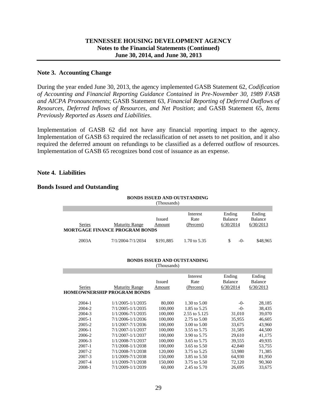#### **Note 3. Accounting Change**

During the year ended June 30, 2013, the agency implemented GASB Statement 62, *Codification of Accounting and Financial Reporting Guidance Contained in Pre-November 30, 1989 FASB and AICPA Pronouncements*; GASB Statement 63, *Financial Reporting of Deferred Outflows of Resources, Deferred Inflows of Resources, and Net Position*; and GASB Statement 65, *Items Previously Reported as Assets and Liabilities*.

Implementation of GASB 62 did not have any financial reporting impact to the agency. Implementation of GASB 63 required the reclassification of net assets to net position, and it also required the deferred amount on refundings to be classified as a deferred outflow of resources. Implementation of GASB 65 recognizes bond cost of issuance as an expense.

#### **Note 4. Liabilities**

#### **Bonds Issued and Outstanding**

|               |                                       |               | <b>BONDS ISSUED AND OUTSTANDING</b> |                |                |
|---------------|---------------------------------------|---------------|-------------------------------------|----------------|----------------|
|               |                                       | (Thousands)   |                                     |                |                |
|               |                                       |               |                                     |                |                |
|               |                                       |               | Interest                            | Ending         | Ending         |
|               |                                       | <b>Issued</b> | Rate                                | <b>Balance</b> | Balance        |
| Series        | <b>Maturity Range</b>                 | Amount        | (Percent)                           | 6/30/2014      | 6/30/2013      |
|               | <b>MORTGAGE FINANCE PROGRAM BONDS</b> |               |                                     |                |                |
| 2003A         | 7/1/2004-7/1/2034                     |               | 1.70 to 5.35                        |                |                |
|               |                                       | \$191,885     |                                     | \$<br>$-0-$    | \$48,965       |
|               |                                       |               |                                     |                |                |
|               |                                       |               |                                     |                |                |
|               |                                       |               | <b>BONDS ISSUED AND OUTSTANDING</b> |                |                |
|               |                                       | (Thousands)   |                                     |                |                |
|               |                                       |               |                                     |                |                |
|               |                                       |               | Interest                            | Ending         | Ending         |
|               |                                       | <b>Issued</b> | Rate                                | <b>Balance</b> | <b>Balance</b> |
| <b>Series</b> | <b>Maturity Range</b>                 | Amount        | (Percent)                           | 6/30/2014      | 6/30/2013      |
|               | <b>HOMEOWNERSHIP PROGRAM BONDS</b>    |               |                                     |                |                |
|               |                                       |               |                                     |                |                |
| 2004-1        | 1/1/2005-1/1/2035                     | 80,000        | 1.30 to 5.00                        | $-0-$          | 28,185         |
| 2004-2        | 7/1/2005-1/1/2035                     | 100,000       | 1.85 to 5.25                        | $-0-$          | 38,435         |
| 2004-3        | 1/1/2006-7/1/2035                     | 100,000       | 2.55 to 5.125                       | 31,010         | 39,070         |
| $2005 - 1$    | 7/1/2006-1/1/2036                     | 100,000       | 2.75 to 5.00                        | 35,955         | 46,605         |
| 2005-2        | 1/1/2007-7/1/2036                     | 100,000       | 3.00 to 5.00                        | 33,675         | 43,960         |
| 2006-1        | 7/1/2007-1/1/2037                     | 100,000       | 3.55 to 5.75                        | 31,585         | 44,500         |
| 2006-2        | 7/1/2007-1/1/2037                     | 100,000       | 3.90 to 5.75                        | 29,610         | 41,175         |
| 2006-3        | 1/1/2008-7/1/2037                     | 100,000       | 3.65 to 5.75                        | 39,555         | 49,935         |
| $2007 - 1$    | 7/1/2008-1/1/2038                     | 100,000       | 3.65 to 5.50                        | 42,840         | 53,755         |
| 2007-2        | 7/1/2008-7/1/2038                     | 120,000       | 3.75 to 5.25                        | 53,980         | 71,385         |
| 2007-3        | 1/1/2009-7/1/2038                     | 150,000       | 3.85 to 5.50                        | 64,930         | 81,950         |
| 2007-4        | 1/1/2009-7/1/2038                     | 150,000       | 3.75 to 5.50                        | 72.120         | 90.360         |

2008-1 7/1/2009-1/1/2039 60,000 2.45 to 5.70 26,695 33,675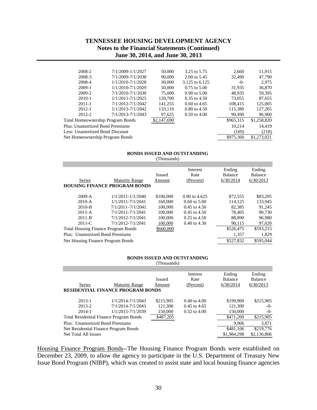| 2008-2                            | 7/1/2009-1/1/2027 | 50,000      | 3.25 to 5.75            | 2.660     | 11.915      |  |
|-----------------------------------|-------------------|-------------|-------------------------|-----------|-------------|--|
| 2008-3                            | 7/1/2009-7/1/2038 | 90,000      | 2.00 to 5.45            | 32,490    | 47.790      |  |
| 2008-4                            | 1/1/2010-7/1/2028 | 30,000      | 3.125 to 6.125          | $-()$ -   | 2.975       |  |
| 2009-1                            | 1/1/2010-7/1/2029 | 50,000      | $0.75$ to $5.00$        | 31.935    | 36,870      |  |
| 2009-2                            | 7/1/2010-7/1/2030 | 75,000      | $0.90 \text{ to } 5.00$ | 48.935    | 59,395      |  |
| $2010-1$                          | 1/1/2011-7/1/2025 | 120,700     | $0.35$ to $4.50$        | 73,055    | 87.655      |  |
| $2011 - 1$                        | 7/1/2012-7/1/2042 | 141.255     | $0.60 \text{ to } 4.65$ | 108.415   | 125,005     |  |
| $2012 - 1$                        | 1/1/2013-7/1/2042 | 133.110     | $0.80 \text{ to } 4.50$ | 115.380   | 127,265     |  |
| 2012-2                            | 7/1/2013-7/1/2043 | 97,625      | $0.50 \text{ to } 4.00$ | 90.490    | 96,960      |  |
| Total Homeownership Program Bonds |                   | \$2,147,690 |                         | \$965,315 | \$1,258,820 |  |
| Plus: Unamortized Bond Premiums   |                   |             |                         | 10.214    | 14.419      |  |
| Less: Unamortized Bond Discount   |                   |             |                         | (169)     | (218)       |  |
| Net Homeownership Program Bonds   |                   |             |                         | \$975,360 | \$1,273,021 |  |

#### **BONDS ISSUED AND OUTSTANDING**

(Thousands)

|                                            |                                      |               | Interest                | Ending         | Ending         |
|--------------------------------------------|--------------------------------------|---------------|-------------------------|----------------|----------------|
|                                            |                                      | <b>Issued</b> | Rate                    | <b>Balance</b> | <b>Balance</b> |
| Series                                     | <b>Maturity Range</b>                | Amount        | (Percent)               | 6/30/2014      | 6/30/2013      |
|                                            | <b>HOUSING FINANCE PROGRAM BONDS</b> |               |                         |                |                |
|                                            |                                      |               |                         |                |                |
| $2009 - A$                                 | $1/1/2011 - 1/1/2040$                | \$100,000     | $0.90$ to 4.625         | \$72,555       | \$83,295       |
| $2010 - A$                                 | 1/1/2011-7/1/2041                    | 160,000       | $0.60 \text{ to } 5.00$ | 114.125        | 133.945        |
| $2010 - B$                                 | 7/1/2011-7/1/2041                    | 100,000       | $0.45$ to $4.50$        | 82.385         | 91.245         |
| $2011 - A$                                 | 7/1/2011-7/1/2041                    | 100,000       | $0.45$ to $4.50$        | 78.405         | 90,730         |
| $2011 - B$                                 | 7/1/2012-7/1/2041                    | 100,000       | $0.25$ to 4.50          | 88.890         | 96,980         |
| $2011 - C$                                 | 7/1/2012-7/1/2041                    | 100,000       | $0.40 \text{ to } 4.30$ | 90.115         | 97,020         |
| <b>Total Housing Finance Program Bonds</b> |                                      | \$660,000     |                         | \$526,475      | \$593.215      |
| Plus: Unamortized Bond Premiums            |                                      |               |                         | 1.357          | 1.829          |
| Net Housing Finance Program Bonds          |                                      |               |                         | \$527,832      | \$595,044      |
|                                            |                                      |               |                         |                |                |

#### **BONDS ISSUED AND OUTSTANDING**

(Thousands)

|                                       |                                                |               | Interest                | Ending         | Ending         |
|---------------------------------------|------------------------------------------------|---------------|-------------------------|----------------|----------------|
|                                       |                                                | <b>Issued</b> | Rate                    | <b>Balance</b> | <b>Balance</b> |
| Series                                | <b>Maturity Range</b>                          | Amount        | (Percent)               | 6/30/2014      | 6/30/2013      |
|                                       | <b>RESIDENTIAL FINANCE PROGRAM BONDS</b>       |               |                         |                |                |
| 2013-1                                | 1/1/2014-7/1/2043                              | \$215,905     | $0.40 \text{ to } 4.00$ | \$199,900      | \$215,905      |
| 2013-2                                | 7/1/2014-7/1/2043                              | 121,300       | $0.45$ to $4.65$        | 121,300        | $-()$          |
| $2014 - 1$                            | 1/1/2015-7/1/2039                              | 150,000       | $0.32$ to $4.00$        | 150,000        | -0-            |
|                                       | <b>Total Residential Finance Program Bonds</b> | \$487,205     |                         | \$471,200      | \$215,905      |
| Plus: Unamortized Bond Premiums       |                                                |               |                         | 9,906          | 3,871          |
| Net Residential Finance Program Bonds |                                                |               |                         | \$481,106      | \$219,776      |
| Net Total All Issues                  |                                                |               |                         | \$1,984,298    | \$2,136,806    |

Housing Finance Program Bonds--The Housing Finance Program Bonds were established on December 23, 2009, to allow the agency to participate in the U.S. Department of Treasury New Issue Bond Program (NIBP), which was created to assist state and local housing finance agencies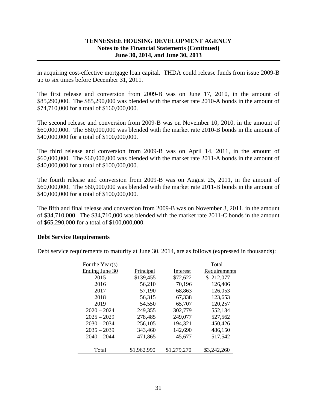in acquiring cost-effective mortgage loan capital. THDA could release funds from issue 2009-B up to six times before December 31, 2011.

The first release and conversion from 2009-B was on June 17, 2010, in the amount of \$85,290,000. The \$85,290,000 was blended with the market rate 2010-A bonds in the amount of \$74,710,000 for a total of \$160,000,000.

The second release and conversion from 2009-B was on November 10, 2010, in the amount of \$60,000,000. The \$60,000,000 was blended with the market rate 2010-B bonds in the amount of \$40,000,000 for a total of \$100,000,000.

The third release and conversion from 2009-B was on April 14, 2011, in the amount of \$60,000,000. The \$60,000,000 was blended with the market rate 2011-A bonds in the amount of \$40,000,000 for a total of \$100,000,000.

The fourth release and conversion from 2009-B was on August 25, 2011, in the amount of \$60,000,000. The \$60,000,000 was blended with the market rate 2011-B bonds in the amount of \$40,000,000 for a total of \$100,000,000.

The fifth and final release and conversion from 2009-B was on November 3, 2011, in the amount of \$34,710,000. The \$34,710,000 was blended with the market rate 2011-C bonds in the amount of \$65,290,000 for a total of \$100,000,000.

#### **Debt Service Requirements**

Debt service requirements to maturity at June 30, 2014, are as follows (expressed in thousands):

| For the $Year(s)$ |             |             | Total        |
|-------------------|-------------|-------------|--------------|
| Ending June 30    | Principal   | Interest    | Requirements |
| 2015              | \$139,455   | \$72,622    | \$212,077    |
| 2016              | 56,210      | 70,196      | 126,406      |
| 2017              | 57,190      | 68,863      | 126,053      |
| 2018              | 56,315      | 67,338      | 123,653      |
| 2019              | 54,550      | 65,707      | 120,257      |
| $2020 - 2024$     | 249,355     | 302,779     | 552,134      |
| $2025 - 2029$     | 278,485     | 249,077     | 527,562      |
| $2030 - 2034$     | 256,105     | 194,321     | 450,426      |
| $2035 - 2039$     | 343,460     | 142,690     | 486,150      |
| $2040 - 2044$     | 471,865     | 45,677      | 517,542      |
|                   |             |             |              |
| Total             | \$1,962,990 | \$1,279,270 | \$3,242,260  |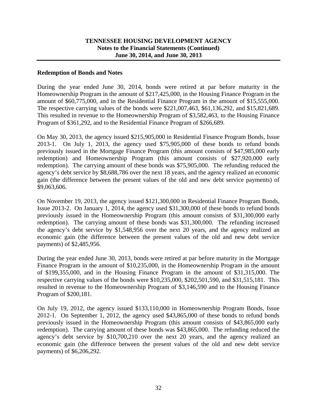#### **Redemption of Bonds and Notes**

During the year ended June 30, 2014, bonds were retired at par before maturity in the Homeownership Program in the amount of \$217,425,000, in the Housing Finance Program in the amount of \$60,775,000, and in the Residential Finance Program in the amount of \$15,555,000. The respective carrying values of the bonds were \$221,007,463, \$61,136,292, and \$15,821,689. This resulted in revenue to the Homeownership Program of \$3,582,463, to the Housing Finance Program of \$361,292, and to the Residential Finance Program of \$266,689.

On May 30, 2013, the agency issued \$215,905,000 in Residential Finance Program Bonds, Issue 2013-1. On July 1, 2013, the agency used \$75,905,000 of these bonds to refund bonds previously issued in the Mortgage Finance Program (this amount consists of \$47,985,000 early redemption) and Homeownership Program (this amount consists of \$27,920,000 early redemption). The carrying amount of these bonds was \$75,905,000. The refunding reduced the agency's debt service by \$8,688,786 over the next 18 years, and the agency realized an economic gain (the difference between the present values of the old and new debt service payments) of \$9,063,606.

On November 19, 2013, the agency issued \$121,300,000 in Residential Finance Program Bonds, Issue 2013-2. On January 1, 2014, the agency used \$31,300,000 of these bonds to refund bonds previously issued in the Homeownership Program (this amount consists of \$31,300,000 early redemption). The carrying amount of these bonds was \$31,300,000. The refunding increased the agency's debt service by \$1,548,956 over the next 20 years, and the agency realized an economic gain (the difference between the present values of the old and new debt service payments) of \$2,485,956.

During the year ended June 30, 2013, bonds were retired at par before maturity in the Mortgage Finance Program in the amount of \$10,235,000, in the Homeownership Program in the amount of \$199,355,000, and in the Housing Finance Program in the amount of \$31,315,000. The respective carrying values of the bonds were \$10,235,000, \$202,501,590, and \$31,515,181. This resulted in revenue to the Homeownership Program of \$3,146,590 and to the Housing Finance Program of \$200,181.

On July 19, 2012, the agency issued \$133,110,000 in Homeownership Program Bonds, Issue 2012-1. On September 1, 2012, the agency used \$43,865,000 of these bonds to refund bonds previously issued in the Homeownership Program (this amount consists of \$43,865,000 early redemption). The carrying amount of these bonds was \$43,865,000. The refunding reduced the agency's debt service by \$10,700,210 over the next 20 years, and the agency realized an economic gain (the difference between the present values of the old and new debt service payments) of \$6,206,292.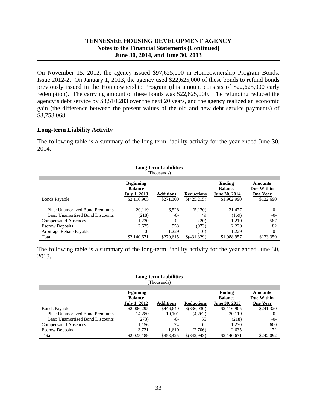On November 15, 2012, the agency issued \$97,625,000 in Homeownership Program Bonds, Issue 2012-2. On January 1, 2013, the agency used \$22,625,000 of these bonds to refund bonds previously issued in the Homeownership Program (this amount consists of \$22,625,000 early redemption). The carrying amount of these bonds was \$22,625,000. The refunding reduced the agency's debt service by \$8,510,283 over the next 20 years, and the agency realized an economic gain (the difference between the present values of the old and new debt service payments) of \$3,758,068.

#### **Long-term Liability Activity**

The following table is a summary of the long-term liability activity for the year ended June 30, 2014.

| <b>Long-term Liabilities</b><br>(Thousands)                         |                                                           |                  |                   |                                           |                                                 |
|---------------------------------------------------------------------|-----------------------------------------------------------|------------------|-------------------|-------------------------------------------|-------------------------------------------------|
|                                                                     |                                                           |                  |                   |                                           |                                                 |
|                                                                     | <b>Beginning</b><br><b>Balance</b><br><b>July 1, 2013</b> | <b>Additions</b> | <b>Reductions</b> | Ending<br><b>Balance</b><br>June 30, 2014 | <b>Amounts</b><br>Due Within<br><b>One Year</b> |
| <b>Bonds Payable</b>                                                | \$2,116,905                                               | \$271,300        | \$(425,215)       | \$1,962,990                               | \$122,690                                       |
| Plus: Unamortized Bond Premiums<br>Less: Unamortized Bond Discounts | 20.119<br>(218)                                           | 6,528<br>$-0-$   | (5,170)<br>49     | 21,477<br>(169)                           | -0-<br>$-0-$                                    |
| <b>Compensated Absences</b>                                         | 1.230                                                     | $-0-$            | (20)              | 1.210                                     | 587                                             |
| <b>Escrow Deposits</b>                                              | 2.635                                                     | 558              | (973)             | 2,220                                     | 82                                              |
| Arbitrage Rebate Payable                                            | $-()$                                                     | 1.229            | $(-0-)$           | 1,229                                     | -0-                                             |
| Total                                                               | \$2,140,671                                               | \$279,615        | \$(431,329)       | \$1,988,957                               | \$123,359                                       |

The following table is a summary of the long-term liability activity for the year ended June 30, 2013.

#### **Long-term Liabilities** (Thousands)

|                                         | <b>Beginning</b>    |                  |                   | Ending         | <b>Amounts</b>  |
|-----------------------------------------|---------------------|------------------|-------------------|----------------|-----------------|
|                                         | <b>Balance</b>      |                  |                   | <b>Balance</b> | Due Within      |
|                                         | <b>July 1, 2012</b> | <b>Additions</b> | <b>Reductions</b> | June 30, 2013  | <b>One Year</b> |
| Bonds Payable                           | \$2,006,295         | \$446,640        | \$(336,030)       | \$2,116,905    | \$241,320       |
| Plus: Unamortized Bond Premiums         | 14.280              | 10,101           | (4,262)           | 20.119         | $-0-$           |
| <b>Less: Unamortized Bond Discounts</b> | (273)               | $-0-$            | 55                | (218)          | $-0-$           |
| <b>Compensated Absences</b>             | 1.156               | 74               | $-()$             | 1,230          | 600             |
| <b>Escrow Deposits</b>                  | 3.731               | 1.610            | (2,706)           | 2,635          | 172             |
| Total                                   | \$2,025,189         | \$458,425        | \$(342,943)       | \$2,140,671    | \$242,092       |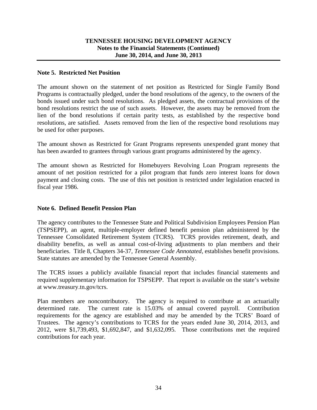#### **Note 5. Restricted Net Position**

The amount shown on the statement of net position as Restricted for Single Family Bond Programs is contractually pledged, under the bond resolutions of the agency, to the owners of the bonds issued under such bond resolutions. As pledged assets, the contractual provisions of the bond resolutions restrict the use of such assets. However, the assets may be removed from the lien of the bond resolutions if certain parity tests, as established by the respective bond resolutions, are satisfied. Assets removed from the lien of the respective bond resolutions may be used for other purposes.

The amount shown as Restricted for Grant Programs represents unexpended grant money that has been awarded to grantees through various grant programs administered by the agency.

The amount shown as Restricted for Homebuyers Revolving Loan Program represents the amount of net position restricted for a pilot program that funds zero interest loans for down payment and closing costs. The use of this net position is restricted under legislation enacted in fiscal year 1986.

#### **Note 6. Defined Benefit Pension Plan**

The agency contributes to the Tennessee State and Political Subdivision Employees Pension Plan (TSPSEPP), an agent, multiple-employer defined benefit pension plan administered by the Tennessee Consolidated Retirement System (TCRS). TCRS provides retirement, death, and disability benefits, as well as annual cost-of-living adjustments to plan members and their beneficiaries. Title 8, Chapters 34-37*, Tennessee Code Annotated,* establishes benefit provisions. State statutes are amended by the Tennessee General Assembly.

The TCRS issues a publicly available financial report that includes financial statements and required supplementary information for TSPSEPP. That report is available on the state's website at www.treasury.tn.gov/tcrs.

Plan members are noncontributory. The agency is required to contribute at an actuarially determined rate. The current rate is 15.03% of annual covered payroll. Contribution requirements for the agency are established and may be amended by the TCRS' Board of Trustees. The agency's contributions to TCRS for the years ended June 30, 2014, 2013, and 2012, were \$1,739,493, \$1,692,847, and \$1,632,095. Those contributions met the required contributions for each year.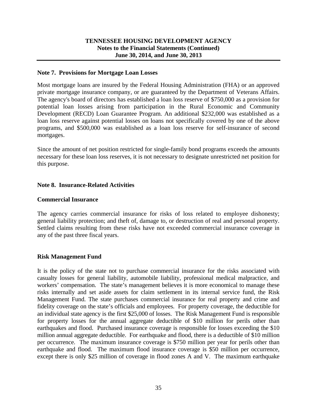#### **Note 7. Provisions for Mortgage Loan Losses**

Most mortgage loans are insured by the Federal Housing Administration (FHA) or an approved private mortgage insurance company, or are guaranteed by the Department of Veterans Affairs. The agency's board of directors has established a loan loss reserve of \$750,000 as a provision for potential loan losses arising from participation in the Rural Economic and Community Development (RECD) Loan Guarantee Program. An additional \$232,000 was established as a loan loss reserve against potential losses on loans not specifically covered by one of the above programs, and \$500,000 was established as a loan loss reserve for self-insurance of second mortgages.

Since the amount of net position restricted for single-family bond programs exceeds the amounts necessary for these loan loss reserves, it is not necessary to designate unrestricted net position for this purpose.

#### **Note 8. Insurance-Related Activities**

#### **Commercial Insurance**

The agency carries commercial insurance for risks of loss related to employee dishonesty; general liability protection; and theft of, damage to, or destruction of real and personal property. Settled claims resulting from these risks have not exceeded commercial insurance coverage in any of the past three fiscal years.

#### **Risk Management Fund**

It is the policy of the state not to purchase commercial insurance for the risks associated with casualty losses for general liability, automobile liability, professional medical malpractice, and workers' compensation. The state's management believes it is more economical to manage these risks internally and set aside assets for claim settlement in its internal service fund, the Risk Management Fund. The state purchases commercial insurance for real property and crime and fidelity coverage on the state's officials and employees. For property coverage, the deductible for an individual state agency is the first \$25,000 of losses. The Risk Management Fund is responsible for property losses for the annual aggregate deductible of \$10 million for perils other than earthquakes and flood. Purchased insurance coverage is responsible for losses exceeding the \$10 million annual aggregate deductible. For earthquake and flood, there is a deductible of \$10 million per occurrence. The maximum insurance coverage is \$750 million per year for perils other than earthquake and flood. The maximum flood insurance coverage is \$50 million per occurrence, except there is only \$25 million of coverage in flood zones A and V. The maximum earthquake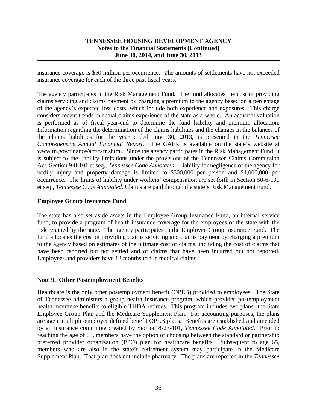insurance coverage is \$50 million per occurrence. The amounts of settlements have not exceeded insurance coverage for each of the three past fiscal years.

The agency participates in the Risk Management Fund. The fund allocates the cost of providing claims servicing and claims payment by charging a premium to the agency based on a percentage of the agency's expected loss costs, which include both experience and exposures. This charge considers recent trends in actual claims experience of the state as a whole. An actuarial valuation is performed as of fiscal year-end to determine the fund liability and premium allocation. Information regarding the determination of the claims liabilities and the changes in the balances of the claims liabilities for the year ended June 30, 2013, is presented in the *Tennessee Comprehensive Annual Financial Report*. The CAFR is available on the state's website at www.tn.gov/finance/act/cafr.shtml. Since the agency participates in the Risk Management Fund, it is subject to the liability limitations under the provisions of the Tennessee Claims Commission Act, Section 9-8-101 et seq., *Tennessee Code Annotated.* Liability for negligence of the agency for bodily injury and property damage is limited to \$300,000 per person and \$1,000,000 per occurrence. The limits of liability under workers' compensation are set forth in Section 50-6-101 et seq., *Tennessee Code Annotated.* Claims are paid through the state's Risk Management Fund.

#### **Employee Group Insurance Fund**

The state has also set aside assets in the Employee Group Insurance Fund, an internal service fund, to provide a program of health insurance coverage for the employees of the state with the risk retained by the state. The agency participates in the Employee Group Insurance Fund. The fund allocates the cost of providing claims servicing and claims payment by charging a premium to the agency based on estimates of the ultimate cost of claims, including the cost of claims that have been reported but not settled and of claims that have been incurred but not reported. Employees and providers have 13 months to file medical claims.

#### **Note 9. Other Postemployment Benefits**

Healthcare is the only other postemployment benefit (OPEB) provided to employees. The State of Tennessee administers a group health insurance program, which provides postemployment health insurance benefits to eligible THDA retirees. This program includes two plans--the State Employee Group Plan and the Medicare Supplement Plan. For accounting purposes, the plans are agent multiple-employer defined benefit OPEB plans. Benefits are established and amended by an insurance committee created by Section 8-27-101, *Tennessee Code Annotated*. Prior to reaching the age of 65, members have the option of choosing between the standard or partnership preferred provider organization (PPO) plan for healthcare benefits. Subsequent to age 65, members who are also in the state's retirement system may participate in the Medicare Supplement Plan. That plan does not include pharmacy. The plans are reported in the *Tennessee*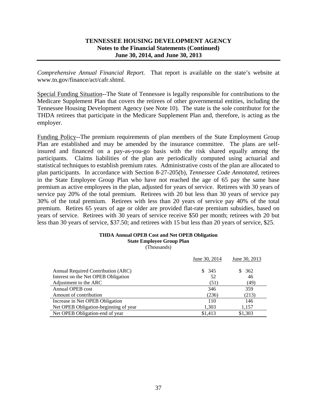*Comprehensive Annual Financial Report.* That report is available on the state's website at www.tn.gov/finance/act/cafr.shtml.

Special Funding Situation--The State of Tennessee is legally responsible for contributions to the Medicare Supplement Plan that covers the retirees of other governmental entities, including the Tennessee Housing Development Agency (see Note 10). The state is the sole contributor for the THDA retirees that participate in the Medicare Supplement Plan and, therefore, is acting as the employer.

Funding Policy--The premium requirements of plan members of the State Employment Group Plan are established and may be amended by the insurance committee. The plans are selfinsured and financed on a pay-as-you-go basis with the risk shared equally among the participants. Claims liabilities of the plan are periodically computed using actuarial and statistical techniques to establish premium rates. Administrative costs of the plan are allocated to plan participants. In accordance with Section 8-27-205(b), *Tennessee Code Annotated,* retirees in the State Employee Group Plan who have not reached the age of 65 pay the same base premium as active employees in the plan, adjusted for years of service. Retirees with 30 years of service pay 20% of the total premium. Retirees with 20 but less than 30 years of service pay 30% of the total premium. Retirees with less than 20 years of service pay 40% of the total premium. Retires 65 years of age or older are provided flat-rate premium subsidies, based on years of service. Retirees with 30 years of service receive \$50 per month; retirees with 20 but less than 30 years of service, \$37.50; and retirees with 15 but less than 20 years of service, \$25.

#### **THDA Annual OPEB Cost and Net OPEB Obligation State Employee Group Plan**

(Thousands)

|                                       | <u>June 30, 2014</u> | <u>June 30, 2013</u> |
|---------------------------------------|----------------------|----------------------|
| Annual Required Contribution (ARC)    | 345<br>S.            | 362<br>\$.           |
| Interest on the Net OPEB Obligation   | 52                   | 46                   |
| Adjustment to the ARC                 | (51)                 | (49)                 |
| Annual OPEB cost                      | 346                  | 359                  |
| Amount of contribution                | (236)                | (213)                |
| Increase in Net OPEB Obligation       | 110                  | 146                  |
| Net OPEB Obligation-beginning of year | 1,303                | 1,157                |
| Net OPEB Obligation-end of year       | \$1.413              | \$1,303              |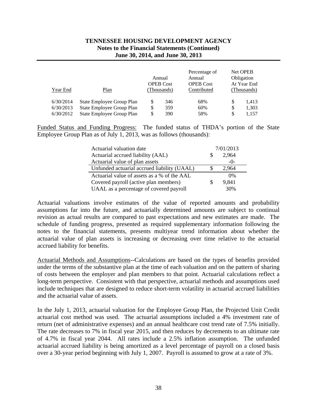| Year End  | Plan                      | Annual<br><b>OPEB</b> Cost<br>(Thousands) | Percentage of<br>Annual<br><b>OPEB</b> Cost<br>Contributed |    | Net OPEB<br>Obligation<br>At Year End<br>(Thousands) |
|-----------|---------------------------|-------------------------------------------|------------------------------------------------------------|----|------------------------------------------------------|
| 6/30/2014 | State Employee Group Plan | \$<br>346                                 | 68%                                                        | S  | 1.413                                                |
| 6/30/2013 | State Employee Group Plan | \$<br>359                                 | 60%                                                        | \$ | 1,303                                                |
| 6/30/2012 | State Employee Group Plan | \$<br>390                                 | 58%                                                        |    | 1.157                                                |

Funded Status and Funding Progress: The funded status of THDA's portion of the State Employee Group Plan as of July 1, 2013, was as follows (thousands):

| Actuarial valuation date                    |   | 7/01/2013 |
|---------------------------------------------|---|-----------|
| Actuarial accrued liability (AAL)           | S | 2,964     |
| Actuarial value of plan assets              |   | $-()$ -   |
| Unfunded actuarial accrued liability (UAAL) |   | 2,964     |
| Actuarial value of assets as a % of the AAL |   | $0\%$     |
| Covered payroll (active plan members)       | S | 9,841     |
| UAAL as a percentage of covered payroll     |   | 30%       |

Actuarial valuations involve estimates of the value of reported amounts and probability assumptions far into the future, and actuarially determined amounts are subject to continual revision as actual results are compared to past expectations and new estimates are made. The schedule of funding progress, presented as required supplementary information following the notes to the financial statements, presents multiyear trend information about whether the actuarial value of plan assets is increasing or decreasing over time relative to the actuarial accrued liability for benefits.

Actuarial Methods and Assumptions--Calculations are based on the types of benefits provided under the terms of the substantive plan at the time of each valuation and on the pattern of sharing of costs between the employer and plan members to that point. Actuarial calculations reflect a long-term perspective. Consistent with that perspective, actuarial methods and assumptions used include techniques that are designed to reduce short-term volatility in actuarial accrued liabilities and the actuarial value of assets.

In the July 1, 2013, actuarial valuation for the Employee Group Plan, the Projected Unit Credit actuarial cost method was used. The actuarial assumptions included a 4% investment rate of return (net of administrative expenses) and an annual healthcare cost trend rate of 7.5% initially. The rate decreases to 7% in fiscal year 2015, and then reduces by decrements to an ultimate rate of 4.7% in fiscal year 2044. All rates include a 2.5% inflation assumption. The unfunded actuarial accrued liability is being amortized as a level percentage of payroll on a closed basis over a 30-year period beginning with July 1, 2007. Payroll is assumed to grow at a rate of 3%.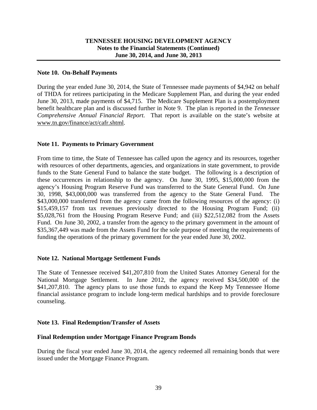#### **Note 10. On-Behalf Payments**

During the year ended June 30, 2014, the State of Tennessee made payments of \$4,942 on behalf of THDA for retirees participating in the Medicare Supplement Plan, and during the year ended June 30, 2013, made payments of \$4,715. The Medicare Supplement Plan is a postemployment benefit healthcare plan and is discussed further in Note 9. The plan is reported in the *Tennessee Comprehensive Annual Financial Report.* That report is available on the state's website at www.tn.gov/finance/act/cafr.shtml.

#### **Note 11. Payments to Primary Government**

From time to time, the State of Tennessee has called upon the agency and its resources, together with resources of other departments, agencies, and organizations in state government, to provide funds to the State General Fund to balance the state budget. The following is a description of these occurrences in relationship to the agency. On June 30, 1995, \$15,000,000 from the agency's Housing Program Reserve Fund was transferred to the State General Fund. On June 30, 1998, \$43,000,000 was transferred from the agency to the State General Fund. The \$43,000,000 transferred from the agency came from the following resources of the agency: (i) \$15,459,157 from tax revenues previously directed to the Housing Program Fund; (ii) \$5,028,761 from the Housing Program Reserve Fund; and (iii) \$22,512,082 from the Assets Fund. On June 30, 2002, a transfer from the agency to the primary government in the amount of \$35,367,449 was made from the Assets Fund for the sole purpose of meeting the requirements of funding the operations of the primary government for the year ended June 30, 2002.

#### **Note 12. National Mortgage Settlement Funds**

The State of Tennessee received \$41,207,810 from the United States Attorney General for the National Mortgage Settlement. In June 2012, the agency received \$34,500,000 of the \$41,207,810. The agency plans to use those funds to expand the Keep My Tennessee Home financial assistance program to include long-term medical hardships and to provide foreclosure counseling.

#### **Note 13. Final Redemption/Transfer of Assets**

#### **Final Redemption under Mortgage Finance Program Bonds**

During the fiscal year ended June 30, 2014, the agency redeemed all remaining bonds that were issued under the Mortgage Finance Program.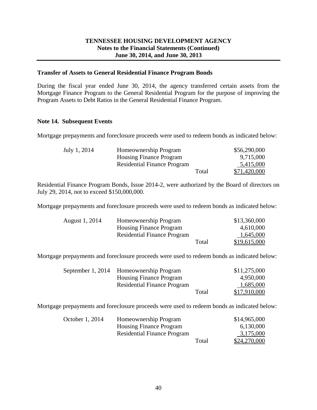#### **Transfer of Assets to General Residential Finance Program Bonds**

During the fiscal year ended June 30, 2014, the agency transferred certain assets from the Mortgage Finance Program to the General Residential Program for the purpose of improving the Program Assets to Debt Ratios in the General Residential Finance Program.

#### **Note 14. Subsequent Events**

Mortgage prepayments and foreclosure proceeds were used to redeem bonds as indicated below:

| July 1, 2014 | Homeownership Program              |       | \$56,290,000 |
|--------------|------------------------------------|-------|--------------|
|              | <b>Housing Finance Program</b>     |       | 9,715,000    |
|              | <b>Residential Finance Program</b> |       | 5,415,000    |
|              |                                    | Total | \$71,420,000 |

Residential Finance Program Bonds, Issue 2014-2, were authorized by the Board of directors on July 29, 2014, not to exceed \$150,000,000.

Mortgage prepayments and foreclosure proceeds were used to redeem bonds as indicated below:

| August 1, 2014 | Homeownership Program              |       | \$13,360,000 |
|----------------|------------------------------------|-------|--------------|
|                | <b>Housing Finance Program</b>     |       | 4,610,000    |
|                | <b>Residential Finance Program</b> |       | 1,645,000    |
|                |                                    | Total | \$19,615,000 |

Mortgage prepayments and foreclosure proceeds were used to redeem bonds as indicated below:

| September 1, 2014 Homeownership Program |       | \$11,275,000 |
|-----------------------------------------|-------|--------------|
| <b>Housing Finance Program</b>          |       | 4,950,000    |
| <b>Residential Finance Program</b>      |       | 1,685,000    |
|                                         | Total | \$17,910,000 |

Mortgage prepayments and foreclosure proceeds were used to redeem bonds as indicated below:

| October 1, 2014 | Homeownership Program              |       | \$14,965,000 |
|-----------------|------------------------------------|-------|--------------|
|                 | <b>Housing Finance Program</b>     |       | 6,130,000    |
|                 | <b>Residential Finance Program</b> |       | 3,175,000    |
|                 |                                    | Total | \$24,270,000 |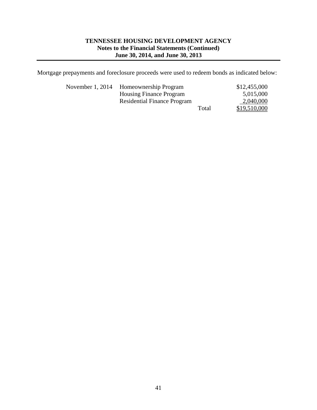Mortgage prepayments and foreclosure proceeds were used to redeem bonds as indicated below:

| November 1, 2014 Homeownership Program |       | \$12,455,000 |
|----------------------------------------|-------|--------------|
| <b>Housing Finance Program</b>         |       | 5,015,000    |
| <b>Residential Finance Program</b>     |       | 2,040,000    |
|                                        | Total | \$19,510,000 |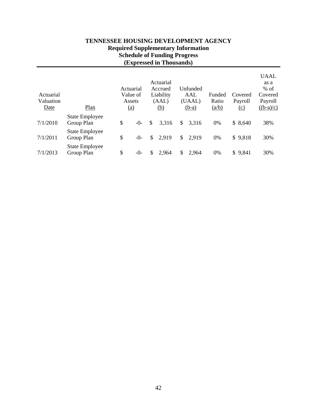| <b>Required Supplementary Information</b><br><b>Schedule of Funding Progress</b><br>(Expressed in Thousands) |                                     |    |                                               |    |                                                          |    |                                      |                          |                                  |                                                                    |  |  |
|--------------------------------------------------------------------------------------------------------------|-------------------------------------|----|-----------------------------------------------|----|----------------------------------------------------------|----|--------------------------------------|--------------------------|----------------------------------|--------------------------------------------------------------------|--|--|
| Actuarial<br>Valuation<br>Date                                                                               | Plan                                |    | Actuarial<br>Value of<br>Assets<br><u>(a)</u> |    | Actuarial<br>Accrued<br>Liability<br>(AAL)<br><u>(b)</u> |    | Unfunded<br>AAL<br>(UAAL)<br>$(b-a)$ | Funded<br>Ratio<br>(a/b) | Covered<br>Payroll<br><u>(c)</u> | <b>UAAL</b><br>as a<br>$%$ of<br>Covered<br>Payroll<br>$((b-a)/c)$ |  |  |
| 7/1/2010                                                                                                     | <b>State Employee</b><br>Group Plan | \$ | $-0-$                                         | \$ | 3,316                                                    | \$ | 3,316                                | 0%                       | \$8,640                          | 38%                                                                |  |  |
| 7/1/2011                                                                                                     | <b>State Employee</b><br>Group Plan | \$ | $-0-$                                         | \$ | 2,919                                                    | \$ | 2,919                                | 0%                       | \$9,818                          | 30%                                                                |  |  |
| 7/1/2013                                                                                                     | <b>State Employee</b><br>Group Plan | \$ | $-0-$                                         | \$ | 2,964                                                    | \$ | 2,964                                | 0%                       | \$9,841                          | 30%                                                                |  |  |

# **TENNESSEE HOUSING DEVELOPMENT AGENCY Required Supplementary Information**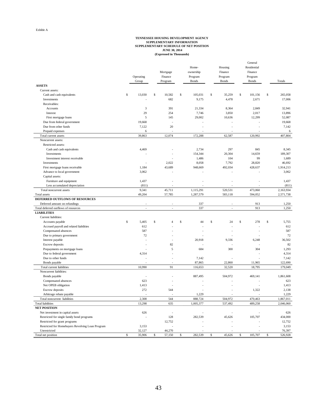# **TENNESSEE HOUSING DEVELOPMENT AGENCY<br>
SUPPLEMENTARY INFORMATION<br>
SUPPLEMENTARY SCHEDULE OF NET POSITION<br>
JUNE 30, 2014<br>
(Expressed in Thousands)**

|                                                  | Operating<br>Group | Mortgage<br>Finance<br>Program |    | Home-<br>ownership<br>Program<br><b>Bonds</b> | Housing<br>Finance<br>Program<br><b>Bonds</b> | General<br>Residential<br>Finance<br>Program<br><b>Bonds</b> |              | Totals    |
|--------------------------------------------------|--------------------|--------------------------------|----|-----------------------------------------------|-----------------------------------------------|--------------------------------------------------------------|--------------|-----------|
| <b>ASSETS</b>                                    |                    |                                |    |                                               |                                               |                                                              |              |           |
| Current assets:                                  |                    |                                |    |                                               |                                               |                                                              |              |           |
| Cash and cash equivalents                        | \$<br>13,030       | \$<br>10,582                   | s  | 105,031                                       | \$<br>35,259                                  | \$<br>101,156                                                | \$           | 265,058   |
| Investments                                      |                    | 682                            |    | 9,175                                         | 4,478                                         | 2,671                                                        |              | 17,006    |
| Receivables:                                     |                    |                                |    |                                               |                                               |                                                              |              |           |
| Accounts                                         | 3                  | 391                            |    | 21,334                                        | 8,364                                         | 2,849                                                        |              | 32,941    |
| Interest                                         | 29                 | 254                            |    | 7,746                                         | 3,850                                         | 2,017                                                        |              | 13,896    |
| First mortgage loans                             | 5                  | 145                            |    | 29,002                                        | 10,636                                        | 12,299                                                       |              | 52,087    |
| Due from federal government                      | 19,668             | ÷,                             |    | ÷,                                            |                                               | $\overline{a}$                                               |              | 19,668    |
| Due from other funds                             | 7,122              | $20\,$                         |    | ÷,                                            | ÷,                                            | ÷,                                                           |              | 7,142     |
| Prepaid expenses                                 | 6                  |                                |    |                                               |                                               |                                                              |              | 6         |
| Total current assets                             | 39,863             | 12,074                         |    | 172,288                                       | 62,587                                        | 120,992                                                      |              | 407,804   |
| Noncurrent assets:                               |                    |                                |    |                                               |                                               |                                                              |              |           |
| Restricted assets:                               |                    |                                |    |                                               |                                               |                                                              |              |           |
| Cash and cash equivalents                        | 4,469              |                                |    | 2,734                                         | 297                                           | 845                                                          |              | 8,345     |
| Investments                                      |                    |                                |    | 154,344                                       | 20,304                                        | 14,659                                                       |              | 189,307   |
| Investment interest receivable                   |                    |                                |    | 1,486                                         | 104                                           | 99                                                           |              | 1,689     |
| Investments                                      |                    | 2,022                          |    | 8,058                                         | 7,792                                         | 28,820                                                       |              | 46,692    |
| First mortgage loans receivable                  | 1,184              | 43,689                         |    | 948,669                                       | 492,034                                       | 428,637                                                      |              | 1,914,213 |
| Advance to local government                      | 3,062              |                                |    |                                               |                                               |                                                              |              | 3,062     |
| Capital assets:                                  |                    |                                |    |                                               |                                               |                                                              |              |           |
| Furniture and equipment                          | 1,437              |                                |    | ÷,                                            | ÷                                             | ä,                                                           |              | 1,437     |
| Less accumulated depreciation                    | (811)              |                                |    |                                               |                                               |                                                              |              | (811)     |
| Total noncurrent assets                          | 9,341              | 45,711                         |    | 1,115,291                                     | 520,531                                       | 473,060                                                      |              | 2,163,934 |
| Total assets                                     | 49,204             | 57,785                         |    | 1,287,579                                     | 583,118                                       | 594,052                                                      |              | 2,571,738 |
| DEFERRED OUTFLOWS OF RESOURCES                   |                    |                                |    |                                               |                                               |                                                              |              |           |
| Deferred amount on refundings                    |                    |                                |    | 337                                           | $\overline{a}$                                | 913                                                          |              | 1,250     |
| Total deferred outflows of resources             | $\sim$             | ÷.                             |    | 337                                           | $\sim$                                        | 913                                                          |              | 1,250     |
| <b>LIABILITIES</b>                               |                    |                                |    |                                               |                                               |                                                              |              |           |
| Current liabilities:                             |                    |                                |    |                                               |                                               |                                                              |              |           |
| Accounts payable                                 | \$<br>5,405        | \$<br>$\overline{4}$           | \$ | 44                                            | \$<br>24                                      | \$<br>278                                                    | $\mathbb{S}$ | 5,755     |
| Accrued payroll and related liabilities          | 612                |                                |    |                                               |                                               |                                                              |              | 612       |
| Compensated absences                             | 587                |                                |    |                                               |                                               |                                                              |              | 587       |
| Due to primary government                        | 72                 |                                |    | ÷                                             | $\overline{a}$                                |                                                              |              | 72        |
| Interest payable                                 | ÷,                 | $\overline{\phantom{a}}$       |    | 20,918                                        | 9,336                                         | 6,248                                                        |              | 36,502    |
| Escrow deposits                                  |                    | 82                             |    |                                               |                                               |                                                              |              | 82        |
| Prepayments on mortgage loans                    |                    | 5                              |    | 684                                           | 300                                           | 304                                                          |              | 1,293     |
| Due to federal government                        | 4,314              |                                |    |                                               |                                               |                                                              |              | 4,314     |
| Due to other funds                               |                    |                                |    | 7,142                                         |                                               |                                                              |              | 7,142     |
| Bonds payable                                    | ÷                  | $\sim$                         |    | 87,865                                        | 22,860                                        | 11,965                                                       |              | 122,690   |
| Total current liabilities                        | 10,990             | 91                             |    | 116,653                                       | 32,520                                        | 18,795                                                       |              | 179,049   |
| Noncurrent liabilities:                          |                    |                                |    |                                               |                                               |                                                              |              |           |
| Bonds payable                                    |                    |                                |    | 887,495                                       | 504,972                                       | 469,141                                                      |              | 1,861,608 |
| Compensated absences                             | 623                |                                |    |                                               |                                               |                                                              |              | 623       |
| Net OPEB obligation                              | 1,413              |                                |    |                                               |                                               |                                                              |              | 1,413     |
| Escrow deposits                                  | 272                | 544                            |    |                                               |                                               | 1,322                                                        |              | 2,138     |
| Arbitrage rebate payable                         |                    |                                |    | 1,229                                         |                                               |                                                              |              | 1,229     |
| Total noncurrent liabilities                     | 2,308              | 544                            |    | 888,724                                       | 504,972                                       | 470,463                                                      |              | 1,867,011 |
| <b>Total liabilities</b>                         | 13,298             | 635                            |    | 1,005,377                                     | 537,492                                       | 489,258                                                      |              | 2,046,060 |
| <b>NET POSITION</b>                              |                    |                                |    |                                               |                                               |                                                              |              |           |
| Net investment in capital assets                 | 626                |                                |    |                                               |                                               |                                                              |              | 626       |
| Restricted for single family bond programs       |                    | 128                            |    | 282,539                                       | 45,626                                        | 105,707                                                      |              | 434,000   |
| Restricted for grant programs                    |                    | 12,752                         |    |                                               |                                               |                                                              |              | 12,752    |
| Restricted for Homebuyers Revolving Loan Program | 3,153              |                                |    |                                               |                                               |                                                              |              | 3,153     |
| Unrestricted                                     | 32,127             | 44,270                         |    |                                               |                                               |                                                              |              | 76,397    |
| Total net position                               | \$<br>35,906       | \$<br>57,150                   | \$ | 282,539                                       | \$<br>45,626                                  | \$<br>105,707                                                | \$           | 526,928   |
|                                                  |                    |                                |    |                                               |                                               |                                                              |              |           |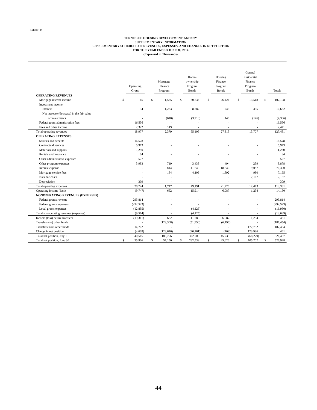### TENNESSEE HOUSING DEVELOPMENT AGENCY<br>SUPPLEMENTARY SCHEDULE OF REVENUENTARY INFORMATION<br>SUPPLEMENTARY SCHEDULE OF REVENUES, EXPENSES, AND CHANGES IN NET POSITION<br>FOR THE YEAR ENDED JUNE 30, 2014 **(Expressed in Thousands)**

|                                           | Operating<br>Group |              | Mortgage<br>Finance<br>Program | Home-<br>ownership<br>Program<br>Bonds | Housing<br>Finance<br>Program<br><b>Bonds</b> |             | General<br>Residential<br>Finance<br>Program<br><b>Bonds</b> | Totals        |
|-------------------------------------------|--------------------|--------------|--------------------------------|----------------------------------------|-----------------------------------------------|-------------|--------------------------------------------------------------|---------------|
| <b>OPERATING REVENUES</b>                 |                    |              |                                |                                        |                                               |             |                                                              |               |
| Mortgage interest income                  | \$<br>65           | \$           | 1,565                          | \$<br>60,536                           | \$<br>26,424                                  | Ŝ           | 13,518                                                       | \$<br>102,108 |
| Investment income:                        |                    |              |                                |                                        |                                               |             |                                                              |               |
| Interest                                  | 34                 |              | 1,283                          | 8,287                                  | 743                                           |             | 335                                                          | 10,682        |
| Net increase (decrease) in the fair value |                    |              |                                |                                        |                                               |             |                                                              |               |
| of investments                            |                    |              | (618)                          | (3,718)                                | 146                                           |             | (146)                                                        | (4,336)       |
| Federal grant administration fees         | 16,556             |              | $\overline{a}$                 |                                        |                                               |             |                                                              | 16,556        |
| Fees and other income                     | 2,322              |              | 149                            | ٠                                      | ÷                                             |             | ٠                                                            | 2,471         |
| Total operating revenues                  | 18,977             |              | 2,379                          | 65.105                                 | 27.313                                        |             | 13,707                                                       | 127,481       |
| <b>OPERATING EXPENSES</b>                 |                    |              |                                |                                        |                                               |             |                                                              |               |
| Salaries and benefits                     | 16,578             |              |                                |                                        |                                               |             |                                                              | 16,578        |
| Contractual services                      | 5,973              |              |                                |                                        |                                               |             |                                                              | 5,973         |
| Materials and supplies                    | 1,250              |              |                                |                                        |                                               |             |                                                              | 1,250         |
| Rentals and insurance                     | 94                 |              |                                |                                        |                                               |             |                                                              | 94            |
| Other administrative expenses             | 527                |              |                                |                                        |                                               |             |                                                              | 527           |
| Other program expenses                    | 3,993              |              | 719                            | 3,433                                  | 494                                           |             | 239                                                          | 8,878         |
| Interest expense                          |                    |              | 814                            | 41,649                                 | 18,840                                        |             | 9,087                                                        | 70,390        |
| Mortgage service fees                     |                    |              | 184                            | 4,109                                  | 1,892                                         |             | 980                                                          | 7,165         |
| Issuance costs                            |                    |              |                                |                                        |                                               |             | 2,167                                                        | 2,167         |
| Depreciation                              | 309                |              | $\overline{\phantom{a}}$       | $\overline{\phantom{a}}$               | ٠                                             |             | $\overline{\phantom{a}}$                                     | 309           |
| Total operating expenses                  | 28,724             |              | 1,717                          | 49,191                                 | 21,226                                        |             | 12,473                                                       | 113,331       |
| Operating income (loss)                   | (9,747)            |              | 662                            | 15,914                                 | 6,087                                         |             | 1,234                                                        | 14,150        |
| <b>NONOPERATING REVENUES (EXPENSES)</b>   |                    |              |                                |                                        |                                               |             |                                                              |               |
| Federal grants revenue                    | 295,814            |              |                                |                                        |                                               |             |                                                              | 295,814       |
| Federal grants expenses                   | (292, 523)         |              |                                |                                        |                                               |             |                                                              | (292, 523)    |
| Local grants expenses                     | (12, 855)          |              | ٠                              | (4, 125)                               | ÷                                             |             | ٠                                                            | (16,980)      |
| Total nonoperating revenues (expenses)    | (9, 564)           |              | ÷,                             | (4, 125)                               | ÷,                                            |             | ÷,                                                           | (13,689)      |
| Income (loss) before transfers            | (19, 311)          |              | 662                            | 11,789                                 | 6,087                                         |             | 1,234                                                        | 461           |
| Transfers (to) other funds                | ÷,                 |              | (129, 308)                     | (51,950)                               | (6, 196)                                      |             | ٠                                                            | (187, 454)    |
| Transfers from other funds                | 14,702             |              | ٠                              | $\sim$                                 | ٠                                             |             | 172,752                                                      | 187,454       |
| Change in net position                    | (4,609)            |              | (128, 646)                     | (40, 161)                              | (109)                                         |             | 173,986                                                      | 461           |
| Total net position, July 1                | 40,515             |              | 185,796                        | 322,700                                | 45,735                                        |             | (68,279)                                                     | 526,467       |
| Total net position, June 30               | \$<br>35,906       | $\mathbb{S}$ | 57,150                         | \$<br>282,539                          | \$<br>45,626                                  | $\mathbb S$ | 105,707                                                      | \$<br>526,928 |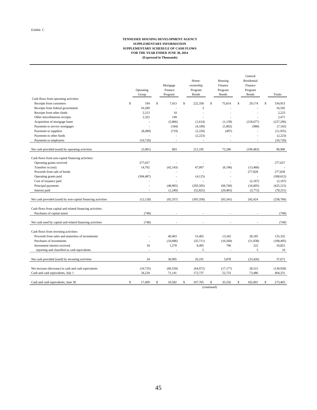#### **TENNESSEE HOUSING DEVELOPMENT AGENCY SUPPLEMENTARY INFORMATION SUPPLEMENTARY SCHEDULE OF CASH FLOWS FOR THE YEAR ENDED JUNE 30, 2014 (Expressed in Thousands)**

|                                                              | Operating<br>Group |             | Mortgage<br>Finance<br>Program |    | Home-<br>ownership<br>Program<br><b>Bonds</b> |    | Housing<br>Finance<br>Program<br><b>Bonds</b> |    | General<br>Residential<br>Finance<br>Program<br><b>Bonds</b> |              | Totals     |
|--------------------------------------------------------------|--------------------|-------------|--------------------------------|----|-----------------------------------------------|----|-----------------------------------------------|----|--------------------------------------------------------------|--------------|------------|
| Cash flows from operating activities:                        |                    |             |                                |    |                                               |    |                                               |    |                                                              |              |            |
| Receipts from customers                                      | \$<br>194          | s           | 7,413                          | \$ | 222,358                                       | \$ | 75,814                                        | \$ | 29,174                                                       | \$           | 334,953    |
| Receipts from federal government                             | 16,589             |             |                                |    | $\overline{3}$                                |    |                                               |    |                                                              |              | 16,592     |
| Receipts from other funds                                    | 2,213              |             | 10                             |    | Ĩ.                                            |    | ÷                                             |    |                                                              |              | 2,223      |
| Other miscellaneous receipts                                 | 2,322              |             | 149                            |    |                                               |    |                                               |    |                                                              |              | 2,471      |
| Acquisition of mortgage loans                                |                    |             | (5,866)                        |    | (1,614)                                       |    | (1, 139)                                      |    | (218,677)                                                    |              | (227, 296) |
| Payments to service mortgages                                | L.                 |             | (184)                          |    | (4,109)                                       |    | (1,892)                                       |    | (980)                                                        |              | (7,165)    |
| Payments to suppliers                                        | (8, 499)           |             | (719)                          |    | (2,220)                                       |    | (497)                                         |    | L,                                                           |              | (11, 935)  |
| Payments to other funds                                      |                    |             | L,                             |    | (2,223)                                       |    |                                               |    |                                                              |              | (2,223)    |
| Payments to employees                                        | (16,720)           |             | $\overline{a}$                 |    | $\overline{a}$                                |    |                                               |    | L,                                                           |              | (16,720)   |
| Net cash provided (used) by operating activities             | (3,901)            |             | 803                            |    | 212,195                                       |    | 72,286                                        |    | (190, 483)                                                   |              | 90,900     |
| Cash flows from non-capital financing activities:            |                    |             |                                |    |                                               |    |                                               |    |                                                              |              |            |
| Operating grants received                                    | 277,657            |             |                                |    |                                               |    |                                               |    |                                                              |              | 277,657    |
| Transfers in (out)                                           | 14,702             |             | (42, 143)                      |    | 47,097                                        |    | (6,196)                                       |    | (13, 460)                                                    |              |            |
| Proceeds from sale of bonds                                  |                    |             |                                |    |                                               |    | $\overline{a}$                                |    | 277,828                                                      |              | 277,828    |
| Operating grants paid                                        | (304, 487)         |             | ٠                              |    | (4, 125)                                      |    | $\overline{\phantom{a}}$                      |    |                                                              |              | (308, 612) |
| Cost of issuance paid                                        |                    |             |                                |    |                                               |    | ÷                                             |    | (2,167)                                                      |              | (2,167)    |
| Principal payments                                           |                    |             | (48, 965)                      |    | (293, 505)                                    |    | (66,740)                                      |    | (16,005)                                                     |              | (425, 215) |
| Interest paid                                                |                    |             | (1,249)                        |    | (52, 825)                                     |    | (20, 405)                                     |    | (3,772)                                                      |              | (78, 251)  |
|                                                              |                    |             |                                |    |                                               |    |                                               |    |                                                              |              |            |
| Net cash provided (used) by non-capital financing activities | (12, 128)          |             | (92, 357)                      |    | (303, 358)                                    |    | (93, 341)                                     |    | 242,424                                                      |              | (258,760)  |
| Cash flows from capital and related financing activities:    |                    |             |                                |    |                                               |    |                                               |    |                                                              |              |            |
| Purchases of capital assets                                  | (740)              |             |                                |    |                                               |    |                                               |    |                                                              |              | (740)      |
|                                                              |                    |             |                                |    |                                               |    |                                               |    |                                                              |              |            |
| Net cash used by capital and related financing activities    | (740)              |             |                                |    |                                               |    |                                               |    |                                                              |              | (740)      |
| Cash flows from investing activities:                        |                    |             |                                |    |                                               |    |                                               |    |                                                              |              |            |
| Proceeds from sales and maturities of investments            | Ĩ.                 |             | 40,403                         |    | 53,402                                        |    | 13,342                                        |    | 28,185                                                       |              | 135,332    |
| Purchases of investments                                     |                    |             | (10, 686)                      |    | (35,711)                                      |    | (10, 260)                                     |    | (51, 838)                                                    |              | (108, 495) |
| Investment interest received                                 | 34                 |             | 1,278                          |    | 8,495                                         |    | 796                                           |    | 222                                                          |              | 10,825     |
| reporting and classified as cash equivalents                 |                    |             |                                |    | 5                                             |    |                                               |    | 5                                                            |              | 10         |
| Net cash provided (used) by investing activities             | 34                 |             | 30,995                         |    | 26,191                                        |    | 3,878                                         |    | (23, 426)                                                    |              | 37,672     |
| Net increase (decrease) in cash and cash equivalents         | (16, 735)          |             | (60, 559)                      |    | (64, 972)                                     |    | (17, 177)                                     |    | 28,515                                                       |              | (130, 928) |
| Cash and cash equivalents, July 1                            | 34,234             |             | 71,141                         |    | 172,737                                       |    | 52,733                                        |    | 73,486                                                       |              | 404,331    |
|                                                              |                    |             |                                |    |                                               |    |                                               |    |                                                              |              |            |
| Cash and cash equivalents, June 30                           | \$<br>17,499       | S           | 10,582                         | S  | 107,765                                       | S  | 35,556                                        | S  | 102,001                                                      | $\mathbb{S}$ | 273,403    |
|                                                              |                    | (continued) |                                |    |                                               |    |                                               |    |                                                              |              |            |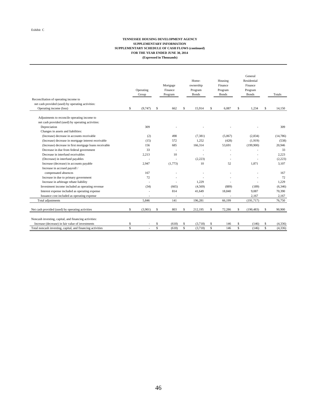#### **TENNESSEE HOUSING DEVELOPMENT AGENCY SUPPLEMENTARY INFORMATION SUPPLEMENTARY SCHEDULE OF CASH FLOWS (continued) FOR THE YEAR ENDED JUNE 30, 2014 (Expressed in Thousands)**

|                                                            |              | Operating<br>Group |              | Mortgage<br>Finance<br>Program |              | Home-<br>ownership<br>Program<br><b>Bonds</b> |              | Housing<br>Finance<br>Program<br><b>Bonds</b> |              | General<br>Residential<br>Finance<br>Program<br><b>Bonds</b> |              | Totals    |
|------------------------------------------------------------|--------------|--------------------|--------------|--------------------------------|--------------|-----------------------------------------------|--------------|-----------------------------------------------|--------------|--------------------------------------------------------------|--------------|-----------|
| Reconciliation of operating income to                      |              |                    |              |                                |              |                                               |              |                                               |              |                                                              |              |           |
| net cash provided (used) by operating activities:          |              |                    |              |                                |              |                                               |              |                                               |              |                                                              |              |           |
| Operating income (loss)                                    | \$           | (9,747)            | S            | 662                            | \$.          | 15,914                                        | \$.          | 6,087                                         | S            | 1,234                                                        | \$.          | 14,150    |
| Adjustments to reconcile operating income to               |              |                    |              |                                |              |                                               |              |                                               |              |                                                              |              |           |
| net cash provided (used) by operating activities:          |              |                    |              |                                |              |                                               |              |                                               |              |                                                              |              |           |
| Depreciation                                               |              | 309                |              |                                |              |                                               |              |                                               |              |                                                              |              | 309       |
| Changes in assets and liabilities:                         |              |                    |              |                                |              |                                               |              |                                               |              |                                                              |              |           |
| (Increase) decrease in accounts receivable                 |              | (2)                |              | 498                            |              | (7, 381)                                      |              | (5,067)                                       |              | (2,834)                                                      |              | (14, 786) |
| (Increase) decrease in mortgage interest receivable        |              | (15)               |              | 572                            |              | 1,252                                         |              | (428)                                         |              | (1,919)                                                      |              | (538)     |
| (Increase) decrease in first mortgage loans receivable     |              | 156                |              | 685                            |              | 166,314                                       |              | 53,691                                        |              | (199,900)                                                    |              | 20,946    |
| Decrease in due from federal government                    |              | 33                 |              | $\overline{\phantom{a}}$       |              | ÷                                             |              | $\overline{a}$                                |              | $\overline{a}$                                               |              | 33        |
| Decrease in interfund receivables                          |              | 2,213              |              | 10                             |              | $\overline{a}$                                |              |                                               |              |                                                              |              | 2,223     |
| (Decrease) in interfund payables                           |              |                    |              | $\overline{\phantom{a}}$       |              | (2,223)                                       |              |                                               |              |                                                              |              | (2,223)   |
| Increase (decrease) in accounts payable                    |              | 2,947              |              | (1,773)                        |              | 10                                            |              | 52                                            |              | 1,871                                                        |              | 3,107     |
| Increase in accrued payroll /                              |              |                    |              |                                |              |                                               |              |                                               |              |                                                              |              |           |
| compensated absences                                       |              | 167                |              |                                |              |                                               |              |                                               |              |                                                              |              | 167       |
| Increase in due to primary government                      |              | 72                 |              |                                |              |                                               |              |                                               |              |                                                              |              | 72        |
| Increase in arbitrage rebate liability                     |              |                    |              |                                |              | 1,229                                         |              |                                               |              |                                                              |              | 1,229     |
| Investment income included as operating revenue            |              | (34)               |              | (665)                          |              | (4,569)                                       |              | (889)                                         |              | (189)                                                        |              | (6,346)   |
| Interest expense included as operating expense             |              | ٠                  |              | 814                            |              | 41,649                                        |              | 18,840                                        |              | 9,087                                                        |              | 70,390    |
| Issuance cost included as operating expense                |              |                    |              |                                |              |                                               |              | $\overline{a}$                                |              | 2,167                                                        |              | 2,167     |
| Total adjustments                                          |              | 5,846              |              | 141                            |              | 196,281                                       |              | 66,199                                        |              | (191, 717)                                                   |              | 76,750    |
| Net cash provided (used) by operating activities           | \$           | (3,901)            | s            | 803                            | S.           | 212,195                                       | \$           | 72,286                                        | S            | (190, 483)                                                   | \$           | 90,900    |
| Noncash investing, capital, and financing activities:      |              |                    |              |                                |              |                                               |              |                                               |              |                                                              |              |           |
| Increase (decrease) in fair value of investments           | \$           |                    | \$           | (618)                          | S            | (3,718)                                       | \$           | 146                                           | \$           | (146)                                                        | \$           | (4, 336)  |
| Total noncash investing, capital, and financing activities | $\mathbf{s}$ |                    | $\mathbf{s}$ | (618)                          | $\mathbb{S}$ | (3,718)                                       | $\mathbb{S}$ | 146                                           | $\mathbb{S}$ | (146)                                                        | $\mathbb{S}$ | (4, 336)  |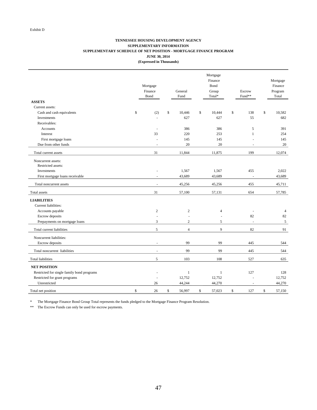#### **TENNESSEE HOUSING DEVELOPMENT AGENCY SUPPLEMENTARY INFORMATION SUPPLEMENTARY SCHEDULE OF NET POSITION - MORTGAGE FINANCE PROGRAM JUNE 30, 2014 (Expressed in Thousands)**

|                                            | Mortgage<br>Finance<br>Bond | General<br>Fund | Mortgage<br>Finance<br>Bond<br>Group<br>Total* | Escrow<br>Fund**         | Mortgage<br>Finance<br>Program<br>Total |
|--------------------------------------------|-----------------------------|-----------------|------------------------------------------------|--------------------------|-----------------------------------------|
| <b>ASSETS</b>                              |                             |                 |                                                |                          |                                         |
| Current assets:                            |                             |                 |                                                |                          |                                         |
| Cash and cash equivalents                  | \$<br>(2)                   | \$<br>10,446    | \$<br>10,444                                   | \$<br>138                | \$<br>10,582                            |
| Investments                                |                             | 627             | 627                                            | 55                       | 682                                     |
| Receivables:                               |                             |                 |                                                |                          |                                         |
| <b>Accounts</b>                            |                             | 386             | 386                                            | 5                        | 391                                     |
| Interest                                   | 33                          | 220             | 253                                            | $\mathbf{1}$             | 254                                     |
| First mortgage loans                       |                             | 145             | 145                                            |                          | 145                                     |
| Due from other funds                       |                             | 20              | 20                                             |                          | 20                                      |
| Total current assets                       | 31                          | 11,844          | 11,875                                         | 199                      | 12,074                                  |
| Noncurrent assets:<br>Restricted assets:   |                             |                 |                                                |                          |                                         |
| Investments                                |                             | 1,567           | 1,567                                          | 455                      | 2,022                                   |
| First mortgage loans receivable            | L,                          | 43,689          | 43,689                                         | $\overline{\phantom{a}}$ | 43,689                                  |
| Total noncurrent assets                    |                             | 45,256          | 45,256                                         | 455                      | 45,711                                  |
| Total assets                               | 31                          | 57,100          | 57,131                                         | 654                      | 57,785                                  |
| <b>LIABILITIES</b>                         |                             |                 |                                                |                          |                                         |
| Current liabilities:                       |                             |                 |                                                |                          |                                         |
| Accounts payable                           | $\overline{c}$              | $\overline{c}$  | 4                                              |                          | $\overline{4}$                          |
| Escrow deposits                            |                             |                 |                                                | 82                       | 82                                      |
| Prepayments on mortgage loans              | 3                           | $\sqrt{2}$      | 5                                              | L.                       | $\mathfrak s$                           |
| Total current liabilities                  | $\sqrt{5}$                  | $\overline{4}$  | 9                                              | 82                       | 91                                      |
| Noncurrent liabilities:                    |                             |                 |                                                |                          |                                         |
| Escrow deposits                            |                             | 99              | 99                                             | 445                      | 544                                     |
| Total noncurrent liabilities               | ÷,                          | 99              | 99                                             | 445                      | 544                                     |
| <b>Total liabilities</b>                   | 5                           | 103             | 108                                            | 527                      | 635                                     |
| <b>NET POSITION</b>                        |                             |                 |                                                |                          |                                         |
| Restricted for single family bond programs |                             | $\mathbf{1}$    | $\mathbf{1}$                                   | 127                      | 128                                     |
| Restricted for grant programs              |                             | 12,752          | 12,752                                         |                          | 12,752                                  |
| Unrestricted                               | 26                          | 44,244          | 44,270                                         | $\overline{\phantom{a}}$ | 44,270                                  |
| Total net position                         | \$<br>26                    | \$<br>56,997    | \$<br>57,023                                   | \$<br>127                | \$<br>57,150                            |

\* The Mortgage Finance Bond Group Total represents the funds pledged to the Mortgage Finance Program Resolution.

\*\* The Escrow Funds can only be used for escrow payments.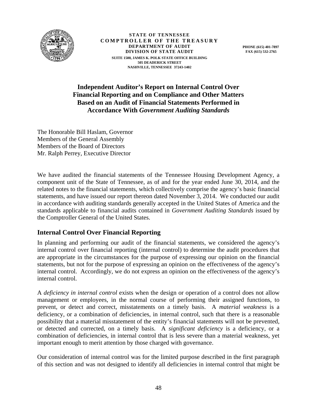

**STATE OF TENNESSEE COMPTROLLER OF THE TREASURY DEPARTMENT OF AUDIT DIVISION OF STATE AUDIT SUITE 1500, JAMES K. POLK STATE OFFICE BUILDING 505 DEADERICK STREET NASHVILLE, TENNESSEE 37243-1402** 

**PHONE (615) 401-7897 FAX (615) 532-2765** 

#### **Independent Auditor's Report on Internal Control Over Financial Reporting and on Compliance and Other Matters Based on an Audit of Financial Statements Performed in Accordance With** *Government Auditing Standards*

The Honorable Bill Haslam, Governor Members of the General Assembly Members of the Board of Directors Mr. Ralph Perrey, Executive Director

We have audited the financial statements of the Tennessee Housing Development Agency, a component unit of the State of Tennessee, as of and for the year ended June 30, 2014, and the related notes to the financial statements, which collectively comprise the agency's basic financial statements, and have issued our report thereon dated November 3, 2014. We conducted our audit in accordance with auditing standards generally accepted in the United States of America and the standards applicable to financial audits contained in *Government Auditing Standards* issued by the Comptroller General of the United States.

#### **Internal Control Over Financial Reporting**

In planning and performing our audit of the financial statements, we considered the agency's internal control over financial reporting (internal control) to determine the audit procedures that are appropriate in the circumstances for the purpose of expressing our opinion on the financial statements, but not for the purpose of expressing an opinion on the effectiveness of the agency's internal control. Accordingly, we do not express an opinion on the effectiveness of the agency's internal control.

A *deficiency in internal control* exists when the design or operation of a control does not allow management or employees, in the normal course of performing their assigned functions, to prevent, or detect and correct, misstatements on a timely basis. A *material weakness* is a deficiency, or a combination of deficiencies, in internal control, such that there is a reasonable possibility that a material misstatement of the entity's financial statements will not be prevented, or detected and corrected, on a timely basis. A *significant deficiency* is a deficiency, or a combination of deficiencies, in internal control that is less severe than a material weakness, yet important enough to merit attention by those charged with governance.

Our consideration of internal control was for the limited purpose described in the first paragraph of this section and was not designed to identify all deficiencies in internal control that might be